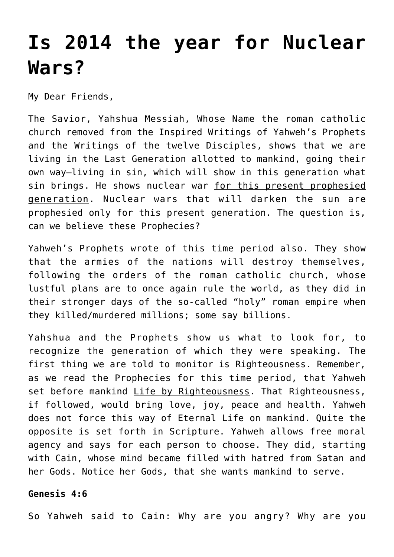# **[Is 2014 the year for Nuclear](https://yahwehsbranch.com/is-2014-the-year-for-nuclear-wars/) [Wars?](https://yahwehsbranch.com/is-2014-the-year-for-nuclear-wars/)**

My Dear Friends,

The Savior, Yahshua Messiah, Whose Name the roman catholic church removed from the Inspired Writings of Yahweh's Prophets and the Writings of the twelve Disciples, shows that we are living in the Last Generation allotted to mankind, going their own way–living in sin, which will show in this generation what sin brings. He shows nuclear war for this present prophesied generation. Nuclear wars that will darken the sun are prophesied only for this present generation. The question is, can we believe these Prophecies?

Yahweh's Prophets wrote of this time period also. They show that the armies of the nations will destroy themselves, following the orders of the roman catholic church, whose lustful plans are to once again rule the world, as they did in their stronger days of the so-called "holy" roman empire when they killed/murdered millions; some say billions.

Yahshua and the Prophets show us what to look for, to recognize the generation of which they were speaking. The first thing we are told to monitor is Righteousness. Remember, as we read the Prophecies for this time period, that Yahweh set before mankind Life by Righteousness. That Righteousness, if followed, would bring love, joy, peace and health. Yahweh does not force this way of Eternal Life on mankind. Quite the opposite is set forth in Scripture. Yahweh allows free moral agency and says for each person to choose. They did, starting with Cain, whose mind became filled with hatred from Satan and her Gods. Notice her Gods, that she wants mankind to serve.

# **Genesis 4:6**

So Yahweh said to Cain: Why are you angry? Why are you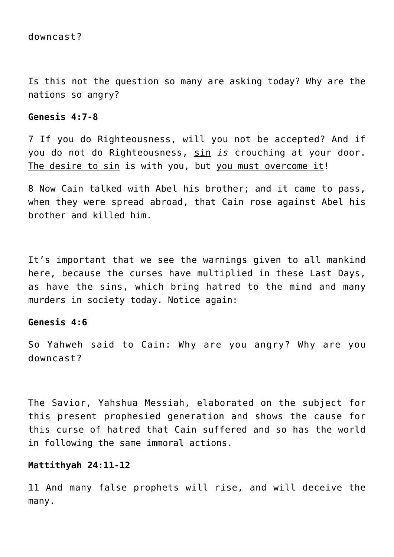Is this not the question so many are asking today? Why are the nations so angry?

#### **Genesis 4:7-8**

7 If you do Righteousness, will you not be accepted? And if you do not do Righteousness, sin *is* crouching at your door. The desire to sin is with you, but you must overcome it!

8 Now Cain talked with Abel his brother; and it came to pass, when they were spread abroad, that Cain rose against Abel his brother and killed him.

It's important that we see the warnings given to all mankind here, because the curses have multiplied in these Last Days, as have the sins, which bring hatred to the mind and many murders in society today. Notice again:

#### **Genesis 4:6**

So Yahweh said to Cain: Why are you angry? Why are you downcast?

The Savior, Yahshua Messiah, elaborated on the subject for this present prophesied generation and shows the cause for this curse of hatred that Cain suffered and so has the world in following the same immoral actions.

#### **Mattithyah 24:11-12**

11 And many false prophets will rise, and will deceive the many.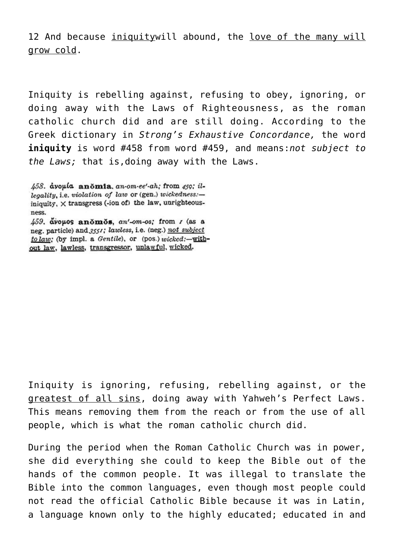12 And because iniquitywill abound, the love of the many will grow cold.

Iniquity is rebelling against, refusing to obey, ignoring, or doing away with the Laws of Righteousness, as the roman catholic church did and are still doing. According to the Greek dictionary in *Strong's Exhaustive Concordance,* the word **iniquity** is word #458 from word #459, and means:*not subject to the Laws;* that is,doing away with the Laws.

 $\mu$ 59. avouos anomos, an'-om-os; from  $r$  (as a neg. particle) and 3551; lawless, i.e. (neg.) not subject to law: (by impl. a Gentile), or (pos.) wicked:-without law, lawless, transgressor, unlawful, wicked.

Iniquity is ignoring, refusing, rebelling against, or the greatest of all sins, doing away with Yahweh's Perfect Laws. This means removing them from the reach or from the use of all people, which is what the roman catholic church did.

During the period when the Roman Catholic Church was in power, she did everything she could to keep the Bible out of the hands of the common people. It was illegal to translate the Bible into the common languages, even though most people could not read the official Catholic Bible because it was in Latin, a language known only to the highly educated; educated in and

<sup>458.</sup> avouta anomia an-om-ee'-ah; from 450; illegality, i.e. violation of law or (gen.) wickedness:iniquity,  $\times$  transgress (-ion of) the law, unrighteousness.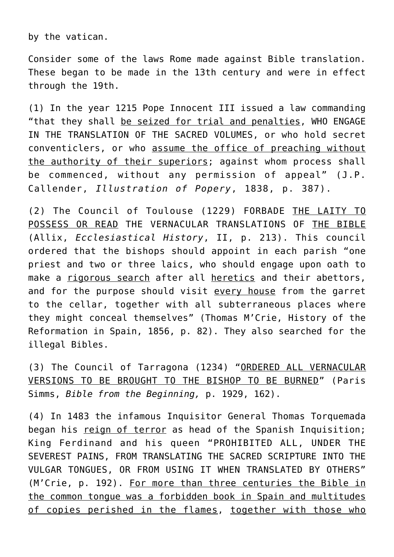by the vatican.

Consider some of the laws Rome made against Bible translation. These began to be made in the 13th century and were in effect through the 19th.

(1) In the year 1215 Pope Innocent III issued a law commanding "that they shall be seized for trial and penalties, WHO ENGAGE IN THE TRANSLATION OF THE SACRED VOLUMES, or who hold secret conventiclers, or who assume the office of preaching without the authority of their superiors; against whom process shall be commenced, without any permission of appeal" (J.P. Callender, *Illustration of Popery*, 1838, p. 387).

(2) The Council of Toulouse (1229) FORBADE THE LAITY TO POSSESS OR READ THE VERNACULAR TRANSLATIONS OF THE BIBLE (Allix, *Ecclesiastical History*, II, p. 213). This council ordered that the bishops should appoint in each parish "one priest and two or three laics, who should engage upon oath to make a rigorous search after all heretics and their abettors, and for the purpose should visit every house from the garret to the cellar, together with all subterraneous places where they might conceal themselves" (Thomas M'Crie, History of the Reformation in Spain, 1856, p. 82). They also searched for the illegal Bibles.

(3) The Council of Tarragona (1234) "ORDERED ALL VERNACULAR VERSIONS TO BE BROUGHT TO THE BISHOP TO BE BURNED" (Paris Simms, *Bible from the Beginning,* p. 1929, 162).

(4) In 1483 the infamous Inquisitor General Thomas Torquemada began his reign of terror as head of the Spanish Inquisition; King Ferdinand and his queen "PROHIBITED ALL, UNDER THE SEVEREST PAINS, FROM TRANSLATING THE SACRED SCRIPTURE INTO THE VULGAR TONGUES, OR FROM USING IT WHEN TRANSLATED BY OTHERS" (M'Crie, p. 192). For more than three centuries the Bible in the common tongue was a forbidden book in Spain and multitudes of copies perished in the flames, together with those who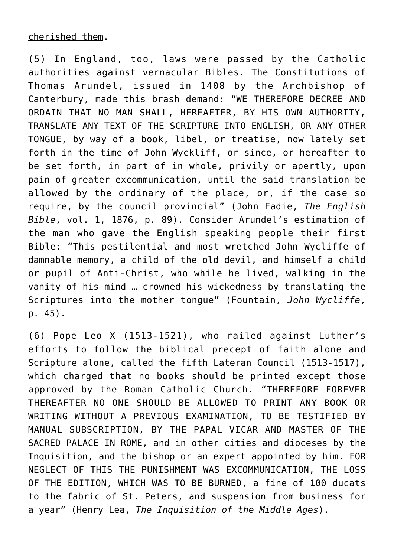(5) In England, too, laws were passed by the Catholic authorities against vernacular Bibles. The Constitutions of Thomas Arundel, issued in 1408 by the Archbishop of Canterbury, made this brash demand: "WE THEREFORE DECREE AND ORDAIN THAT NO MAN SHALL, HEREAFTER, BY HIS OWN AUTHORITY, TRANSLATE ANY TEXT OF THE SCRIPTURE INTO ENGLISH, OR ANY OTHER TONGUE, by way of a book, libel, or treatise, now lately set forth in the time of John Wyckliff, or since, or hereafter to be set forth, in part of in whole, privily or apertly, upon pain of greater excommunication, until the said translation be allowed by the ordinary of the place, or, if the case so require, by the council provincial" (John Eadie, *The English Bible*, vol. 1, 1876, p. 89). Consider Arundel's estimation of the man who gave the English speaking people their first Bible: "This pestilential and most wretched John Wycliffe of damnable memory, a child of the old devil, and himself a child or pupil of Anti-Christ, who while he lived, walking in the vanity of his mind … crowned his wickedness by translating the Scriptures into the mother tongue" (Fountain, *John Wycliffe*, p. 45).

(6) Pope Leo X (1513-1521), who railed against Luther's efforts to follow the biblical precept of faith alone and Scripture alone, called the fifth Lateran Council (1513-1517), which charged that no books should be printed except those approved by the Roman Catholic Church. "THEREFORE FOREVER THEREAFTER NO ONE SHOULD BE ALLOWED TO PRINT ANY BOOK OR WRITING WITHOUT A PREVIOUS EXAMINATION, TO BE TESTIFIED BY MANUAL SUBSCRIPTION, BY THE PAPAL VICAR AND MASTER OF THE SACRED PALACE IN ROME, and in other cities and dioceses by the Inquisition, and the bishop or an expert appointed by him. FOR NEGLECT OF THIS THE PUNISHMENT WAS EXCOMMUNICATION, THE LOSS OF THE EDITION, WHICH WAS TO BE BURNED, a fine of 100 ducats to the fabric of St. Peters, and suspension from business for a year" (Henry Lea, *The Inquisition of the Middle Ages*).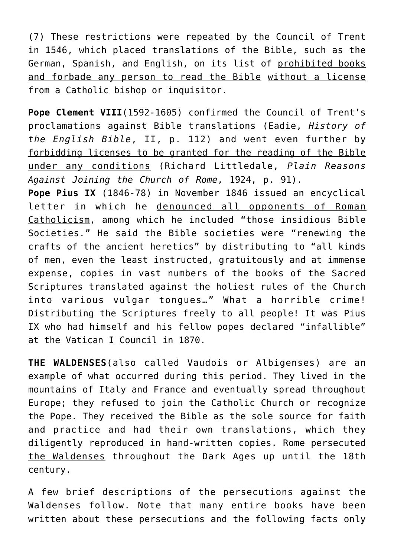(7) These restrictions were repeated by the Council of Trent in 1546, which placed translations of the Bible, such as the German, Spanish, and English, on its list of prohibited books and forbade any person to read the Bible without a license from a Catholic bishop or inquisitor.

**Pope Clement VIII**(1592-1605) confirmed the Council of Trent's proclamations against Bible translations (Eadie, *History of the English Bible*, II, p. 112) and went even further by forbidding licenses to be granted for the reading of the Bible under any conditions (Richard Littledale, *Plain Reasons Against Joining the Church of Rome*, 1924, p. 91).

**Pope Pius IX** (1846-78) in November 1846 issued an encyclical letter in which he denounced all opponents of Roman Catholicism, among which he included "those insidious Bible Societies." He said the Bible societies were "renewing the crafts of the ancient heretics" by distributing to "all kinds of men, even the least instructed, gratuitously and at immense expense, copies in vast numbers of the books of the Sacred Scriptures translated against the holiest rules of the Church into various vulgar tongues…" What a horrible crime! Distributing the Scriptures freely to all people! It was Pius IX who had himself and his fellow popes declared "infallible" at the Vatican I Council in 1870.

**THE WALDENSES**(also called Vaudois or Albigenses) are an example of what occurred during this period. They lived in the mountains of Italy and France and eventually spread throughout Europe; they refused to join the Catholic Church or recognize the Pope. They received the Bible as the sole source for faith and practice and had their own translations, which they diligently reproduced in hand-written copies. Rome persecuted the Waldenses throughout the Dark Ages up until the 18th century.

A few brief descriptions of the persecutions against the Waldenses follow. Note that many entire books have been written about these persecutions and the following facts only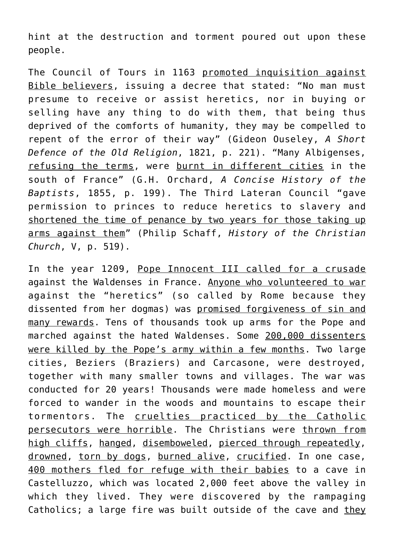hint at the destruction and torment poured out upon these people.

The Council of Tours in 1163 promoted inquisition against Bible believers, issuing a decree that stated: "No man must presume to receive or assist heretics, nor in buying or selling have any thing to do with them, that being thus deprived of the comforts of humanity, they may be compelled to repent of the error of their way" (Gideon Ouseley, *A Short Defence of the Old Religion*, 1821, p. 221). "Many Albigenses, refusing the terms, were burnt in different cities in the south of France" (G.H. Orchard, *A Concise History of the Baptists*, 1855, p. 199). The Third Lateran Council "gave permission to princes to reduce heretics to slavery and shortened the time of penance by two years for those taking up arms against them" (Philip Schaff, *History of the Christian Church*, V, p. 519).

In the year 1209, Pope Innocent III called for a crusade against the Waldenses in France. Anyone who volunteered to war against the "heretics" (so called by Rome because they dissented from her dogmas) was promised forgiveness of sin and many rewards. Tens of thousands took up arms for the Pope and marched against the hated Waldenses. Some 200,000 dissenters were killed by the Pope's army within a few months. Two large cities, Beziers (Braziers) and Carcasone, were destroyed, together with many smaller towns and villages. The war was conducted for 20 years! Thousands were made homeless and were forced to wander in the woods and mountains to escape their tormentors. The cruelties practiced by the Catholic persecutors were horrible. The Christians were thrown from high cliffs, hanged, disemboweled, pierced through repeatedly, drowned, torn by dogs, burned alive, crucified. In one case, 400 mothers fled for refuge with their babies to a cave in Castelluzzo, which was located 2,000 feet above the valley in which they lived. They were discovered by the rampaging Catholics; a large fire was built outside of the cave and they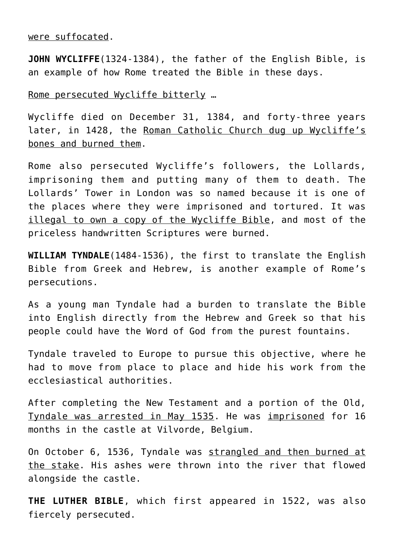were suffocated.

**JOHN WYCLIFFE**(1324-1384), the father of the English Bible, is an example of how Rome treated the Bible in these days.

Rome persecuted Wycliffe bitterly …

Wycliffe died on December 31, 1384, and forty-three years later, in 1428, the Roman Catholic Church dug up Wycliffe's bones and burned them.

Rome also persecuted Wycliffe's followers, the Lollards, imprisoning them and putting many of them to death. The Lollards' Tower in London was so named because it is one of the places where they were imprisoned and tortured. It was illegal to own a copy of the Wycliffe Bible, and most of the priceless handwritten Scriptures were burned.

**WILLIAM TYNDALE**(1484-1536), the first to translate the English Bible from Greek and Hebrew, is another example of Rome's persecutions.

As a young man Tyndale had a burden to translate the Bible into English directly from the Hebrew and Greek so that his people could have the Word of God from the purest fountains.

Tyndale traveled to Europe to pursue this objective, where he had to move from place to place and hide his work from the ecclesiastical authorities.

After completing the New Testament and a portion of the Old, Tyndale was arrested in May 1535. He was imprisoned for 16 months in the castle at Vilvorde, Belgium.

On October 6, 1536, Tyndale was strangled and then burned at the stake. His ashes were thrown into the river that flowed alongside the castle.

**THE LUTHER BIBLE**, which first appeared in 1522, was also fiercely persecuted.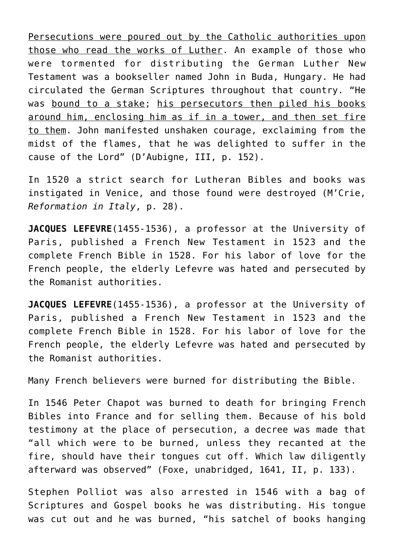Persecutions were poured out by the Catholic authorities upon those who read the works of Luther. An example of those who were tormented for distributing the German Luther New Testament was a bookseller named John in Buda, Hungary. He had circulated the German Scriptures throughout that country. "He was bound to a stake; his persecutors then piled his books around him, enclosing him as if in a tower, and then set fire to them. John manifested unshaken courage, exclaiming from the midst of the flames, that he was delighted to suffer in the cause of the Lord" (D'Aubigne, III, p. 152).

In 1520 a strict search for Lutheran Bibles and books was instigated in Venice, and those found were destroyed (M'Crie, *Reformation in Italy*, p. 28).

**JACQUES LEFEVRE**(1455-1536), a professor at the University of Paris, published a French New Testament in 1523 and the complete French Bible in 1528. For his labor of love for the French people, the elderly Lefevre was hated and persecuted by the Romanist authorities.

**JACQUES LEFEVRE**(1455-1536), a professor at the University of Paris, published a French New Testament in 1523 and the complete French Bible in 1528. For his labor of love for the French people, the elderly Lefevre was hated and persecuted by the Romanist authorities.

Many French believers were burned for distributing the Bible.

In 1546 Peter Chapot was burned to death for bringing French Bibles into France and for selling them. Because of his bold testimony at the place of persecution, a decree was made that "all which were to be burned, unless they recanted at the fire, should have their tongues cut off. Which law diligently afterward was observed" (Foxe, unabridged, 1641, II, p. 133).

Stephen Polliot was also arrested in 1546 with a bag of Scriptures and Gospel books he was distributing. His tongue was cut out and he was burned, "his satchel of books hanging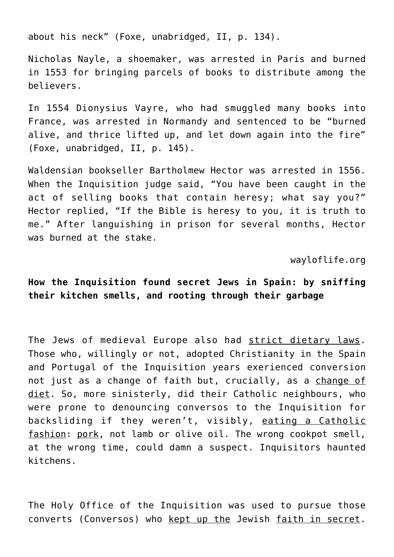about his neck" (Foxe, unabridged, II, p. 134).

Nicholas Nayle, a shoemaker, was arrested in Paris and burned in 1553 for bringing parcels of books to distribute among the believers.

In 1554 Dionysius Vayre, who had smuggled many books into France, was arrested in Normandy and sentenced to be "burned alive, and thrice lifted up, and let down again into the fire" (Foxe, unabridged, II, p. 145).

Waldensian bookseller Bartholmew Hector was arrested in 1556. When the Inquisition judge said, "You have been caught in the act of selling books that contain heresy; what say you?" Hector replied, "If the Bible is heresy to you, it is truth to me." After languishing in prison for several months, Hector was burned at the stake.

wayloflife.org

# **How the Inquisition found secret Jews in Spain: by sniffing their kitchen smells, and rooting through their garbage**

The Jews of medieval Europe also had strict dietary laws. Those who, willingly or not, adopted Christianity in the Spain and Portugal of the Inquisition years exerienced conversion not just as a change of faith but, crucially, as a change of diet. So, more sinisterly, did their Catholic neighbours, who were prone to denouncing conversos to the Inquisition for backsliding if they weren't, visibly, eating a Catholic fashion: pork, not lamb or olive oil. The wrong cookpot smell, at the wrong time, could damn a suspect. Inquisitors haunted kitchens.

The Holy Office of the Inquisition was used to pursue those converts (Conversos) who kept up the Jewish faith in secret.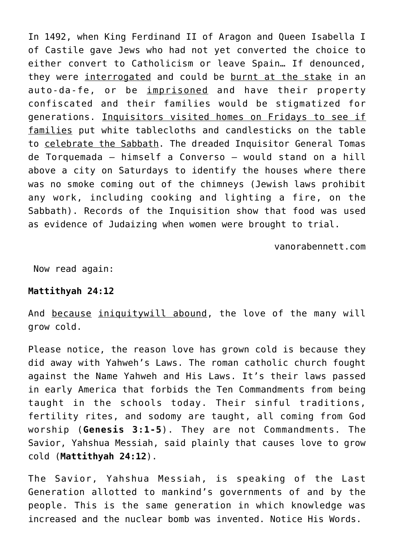In 1492, when King Ferdinand II of Aragon and Queen Isabella I of Castile gave Jews who had not yet converted the choice to either convert to Catholicism or leave Spain… If denounced, they were interrogated and could be burnt at the stake in an auto-da-fe, or be imprisoned and have their property confiscated and their families would be stigmatized for generations. Inquisitors visited homes on Fridays to see if families put white tablecloths and candlesticks on the table to celebrate the Sabbath. The dreaded Inquisitor General Tomas de Torquemada – himself a Converso – would stand on a hill above a city on Saturdays to identify the houses where there was no smoke coming out of the chimneys (Jewish laws prohibit any work, including cooking and lighting a fire, on the Sabbath). Records of the Inquisition show that food was used as evidence of Judaizing when women were brought to trial.

vanorabennett.com

Now read again:

# **Mattithyah 24:12**

And because iniquitywill abound, the love of the many will grow cold.

Please notice, the reason love has grown cold is because they did away with Yahweh's Laws. The roman catholic church fought against the Name Yahweh and His Laws. It's their laws passed in early America that forbids the Ten Commandments from being taught in the schools today. Their sinful traditions, fertility rites, and sodomy are taught, all coming from God worship (**Genesis 3:1-5**). They are not Commandments. The Savior, Yahshua Messiah, said plainly that causes love to grow cold (**Mattithyah 24:12**).

The Savior, Yahshua Messiah, is speaking of the Last Generation allotted to mankind's governments of and by the people. This is the same generation in which knowledge was increased and the nuclear bomb was invented. Notice His Words.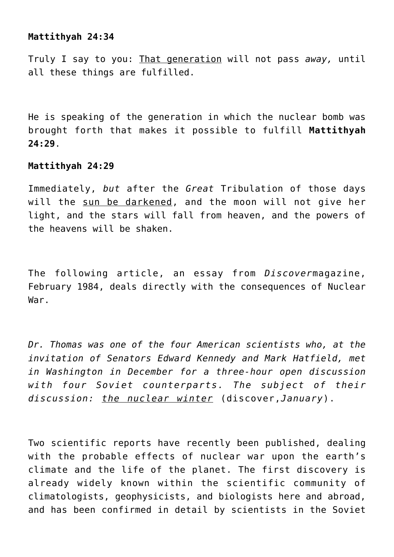# **Mattithyah 24:34**

Truly I say to you: That generation will not pass *away,* until all these things are fulfilled.

He is speaking of the generation in which the nuclear bomb was brought forth that makes it possible to fulfill **Mattithyah 24:29**.

# **Mattithyah 24:29**

Immediately, *but* after the *Great* Tribulation of those days will the sun be darkened, and the moon will not give her light, and the stars will fall from heaven, and the powers of the heavens will be shaken.

The following article, an essay from *Discover*magazine, February 1984, deals directly with the consequences of Nuclear War.

*Dr. Thomas was one of the four American scientists who, at the invitation of Senators Edward Kennedy and Mark Hatfield, met in Washington in December for a three-hour open discussion with four Soviet counterparts. The subject of their discussion: the nuclear winter* (discover,*January*).

Two scientific reports have recently been published, dealing with the probable effects of nuclear war upon the earth's climate and the life of the planet. The first discovery is already widely known within the scientific community of climatologists, geophysicists, and biologists here and abroad, and has been confirmed in detail by scientists in the Soviet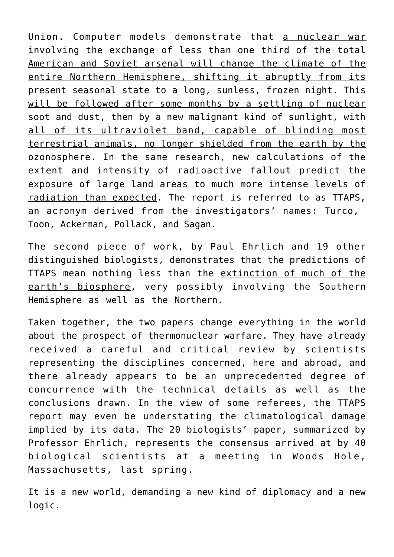Union. Computer models demonstrate that a nuclear war involving the exchange of less than one third of the total American and Soviet arsenal will change the climate of the entire Northern Hemisphere, shifting it abruptly from its present seasonal state to a long, sunless, frozen night. This will be followed after some months by a settling of nuclear soot and dust, then by a new malignant kind of sunlight, with all of its ultraviolet band, capable of blinding most terrestrial animals, no longer shielded from the earth by the ozonosphere. In the same research, new calculations of the extent and intensity of radioactive fallout predict the exposure of large land areas to much more intense levels of radiation than expected. The report is referred to as TTAPS, an acronym derived from the investigators' names: Turco, Toon, Ackerman, Pollack, and Sagan.

The second piece of work, by Paul Ehrlich and 19 other distinguished biologists, demonstrates that the predictions of TTAPS mean nothing less than the extinction of much of the earth's biosphere, very possibly involving the Southern Hemisphere as well as the Northern.

Taken together, the two papers change everything in the world about the prospect of thermonuclear warfare. They have already received a careful and critical review by scientists representing the disciplines concerned, here and abroad, and there already appears to be an unprecedented degree of concurrence with the technical details as well as the conclusions drawn. In the view of some referees, the TTAPS report may even be understating the climatological damage implied by its data. The 20 biologists' paper, summarized by Professor Ehrlich, represents the consensus arrived at by 40 biological scientists at a meeting in Woods Hole, Massachusetts, last spring.

It is a new world, demanding a new kind of diplomacy and a new logic.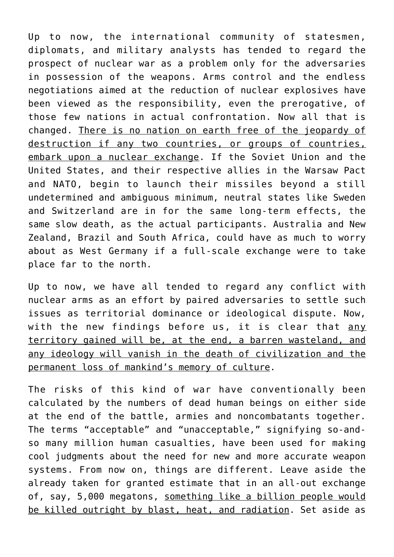Up to now, the international community of statesmen, diplomats, and military analysts has tended to regard the prospect of nuclear war as a problem only for the adversaries in possession of the weapons. Arms control and the endless negotiations aimed at the reduction of nuclear explosives have been viewed as the responsibility, even the prerogative, of those few nations in actual confrontation. Now all that is changed. There is no nation on earth free of the jeopardy of destruction if any two countries, or groups of countries, embark upon a nuclear exchange. If the Soviet Union and the United States, and their respective allies in the Warsaw Pact and NATO, begin to launch their missiles beyond a still undetermined and ambiguous minimum, neutral states like Sweden and Switzerland are in for the same long-term effects, the same slow death, as the actual participants. Australia and New Zealand, Brazil and South Africa, could have as much to worry about as West Germany if a full-scale exchange were to take place far to the north.

Up to now, we have all tended to regard any conflict with nuclear arms as an effort by paired adversaries to settle such issues as territorial dominance or ideological dispute. Now, with the new findings before us, it is clear that any territory gained will be, at the end, a barren wasteland, and any ideology will vanish in the death of civilization and the permanent loss of mankind's memory of culture.

The risks of this kind of war have conventionally been calculated by the numbers of dead human beings on either side at the end of the battle, armies and noncombatants together. The terms "acceptable" and "unacceptable," signifying so-andso many million human casualties, have been used for making cool judgments about the need for new and more accurate weapon systems. From now on, things are different. Leave aside the already taken for granted estimate that in an all-out exchange of, say, 5,000 megatons, something like a billion people would be killed outright by blast, heat, and radiation. Set aside as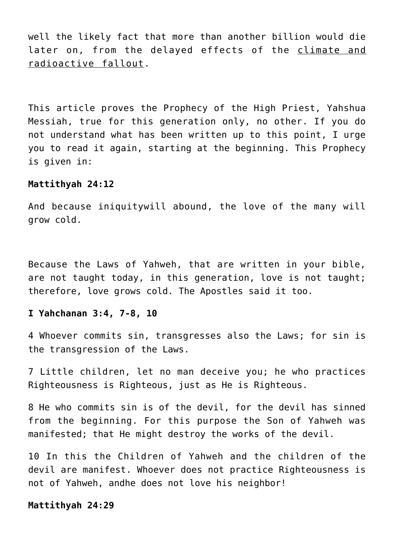well the likely fact that more than another billion would die later on, from the delayed effects of the climate and radioactive fallout.

This article proves the Prophecy of the High Priest, Yahshua Messiah, true for this generation only, no other. If you do not understand what has been written up to this point, I urge you to read it again, starting at the beginning. This Prophecy is given in:

#### **Mattithyah 24:12**

And because iniquitywill abound, the love of the many will grow cold.

Because the Laws of Yahweh, that are written in your bible, are not taught today, in this generation, love is not taught; therefore, love grows cold. The Apostles said it too.

#### **I Yahchanan 3:4, 7-8, 10**

4 Whoever commits sin, transgresses also the Laws; for sin is the transgression of the Laws.

7 Little children, let no man deceive you; he who practices Righteousness is Righteous, just as He is Righteous.

8 He who commits sin is of the devil, for the devil has sinned from the beginning. For this purpose the Son of Yahweh was manifested; that He might destroy the works of the devil.

10 In this the Children of Yahweh and the children of the devil are manifest. Whoever does not practice Righteousness is not of Yahweh, andhe does not love his neighbor!

#### **Mattithyah 24:29**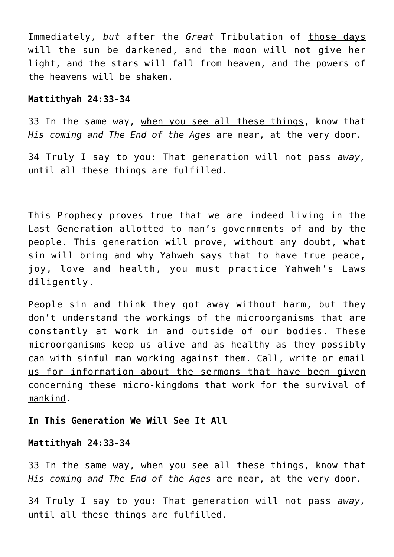Immediately, *but* after the *Great* Tribulation of those days will the sun be darkened, and the moon will not give her light, and the stars will fall from heaven, and the powers of the heavens will be shaken.

#### **Mattithyah 24:33-34**

33 In the same way, when you see all these things, know that *His coming and The End of the Ages* are near, at the very door.

34 Truly I say to you: That generation will not pass *away,* until all these things are fulfilled.

This Prophecy proves true that we are indeed living in the Last Generation allotted to man's governments of and by the people. This generation will prove, without any doubt, what sin will bring and why Yahweh says that to have true peace, joy, love and health, you must practice Yahweh's Laws diligently.

People sin and think they got away without harm, but they don't understand the workings of the microorganisms that are constantly at work in and outside of our bodies. These microorganisms keep us alive and as healthy as they possibly can with sinful man working against them. Call, write or email us for information about the sermons that have been given concerning these micro-kingdoms that work for the survival of mankind.

# **In This Generation We Will See It All**

#### **Mattithyah 24:33-34**

33 In the same way, when you see all these things, know that *His coming and The End of the Ages* are near, at the very door.

34 Truly I say to you: That generation will not pass *away,* until all these things are fulfilled.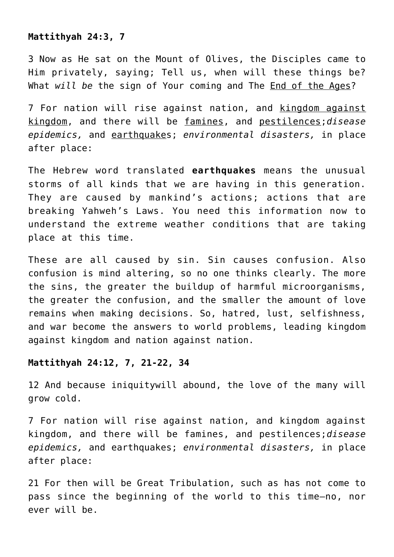# **Mattithyah 24:3, 7**

3 Now as He sat on the Mount of Olives, the Disciples came to Him privately, saying; Tell us, when will these things be? What *will be* the sign of Your coming and The End of the Ages?

7 For nation will rise against nation, and kingdom against kingdom, and there will be famines, and pestilences;*disease epidemics,* and earthquakes; *environmental disasters,* in place after place:

The Hebrew word translated **earthquakes** means the unusual storms of all kinds that we are having in this generation. They are caused by mankind's actions; actions that are breaking Yahweh's Laws. You need this information now to understand the extreme weather conditions that are taking place at this time.

These are all caused by sin. Sin causes confusion. Also confusion is mind altering, so no one thinks clearly. The more the sins, the greater the buildup of harmful microorganisms, the greater the confusion, and the smaller the amount of love remains when making decisions. So, hatred, lust, selfishness, and war become the answers to world problems, leading kingdom against kingdom and nation against nation.

# **Mattithyah 24:12, 7, 21-22, 34**

12 And because iniquitywill abound, the love of the many will grow cold.

7 For nation will rise against nation, and kingdom against kingdom, and there will be famines, and pestilences;*disease epidemics,* and earthquakes; *environmental disasters,* in place after place:

21 For then will be Great Tribulation, such as has not come to pass since the beginning of the world to this time—no, nor ever will be.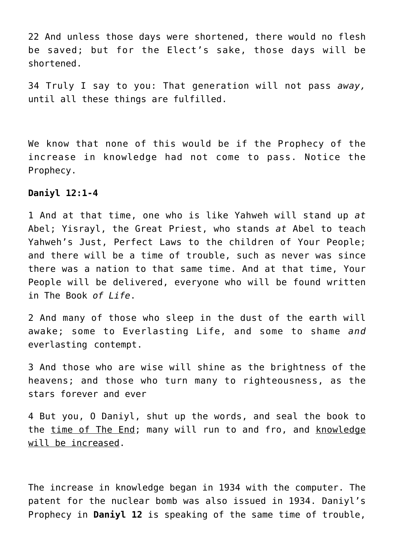22 And unless those days were shortened, there would no flesh be saved; but for the Elect's sake, those days will be shortened.

34 Truly I say to you: That generation will not pass *away,* until all these things are fulfilled.

We know that none of this would be if the Prophecy of the increase in knowledge had not come to pass. Notice the Prophecy.

#### **Daniyl 12:1-4**

1 And at that time, one who is like Yahweh will stand up *at* Abel; Yisrayl, the Great Priest, who stands *at* Abel to teach Yahweh's Just, Perfect Laws to the children of Your People; and there will be a time of trouble, such as never was since there was a nation to that same time. And at that time, Your People will be delivered, everyone who will be found written in The Book *of Life*.

2 And many of those who sleep in the dust of the earth will awake; some to Everlasting Life, and some to shame *and* everlasting contempt.

3 And those who are wise will shine as the brightness of the heavens; and those who turn many to righteousness, as the stars forever and ever

4 But you, O Daniyl, shut up the words, and seal the book to the time of The End; many will run to and fro, and knowledge will be increased.

The increase in knowledge began in 1934 with the computer. The patent for the nuclear bomb was also issued in 1934. Daniyl's Prophecy in **Daniyl 12** is speaking of the same time of trouble,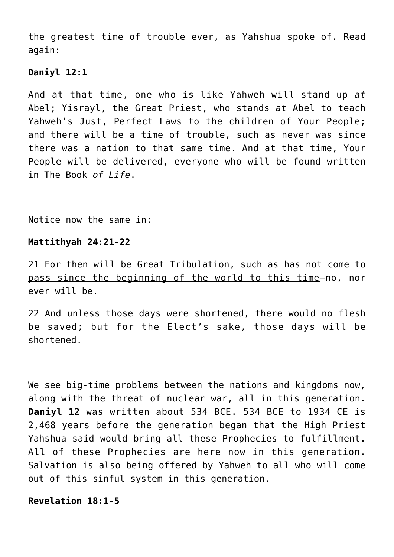the greatest time of trouble ever, as Yahshua spoke of. Read again:

# **Daniyl 12:1**

And at that time, one who is like Yahweh will stand up *at* Abel; Yisrayl, the Great Priest, who stands *at* Abel to teach Yahweh's Just, Perfect Laws to the children of Your People; and there will be a time of trouble, such as never was since there was a nation to that same time. And at that time, Your People will be delivered, everyone who will be found written in The Book *of Life*.

Notice now the same in:

# **Mattithyah 24:21-22**

21 For then will be Great Tribulation, such as has not come to pass since the beginning of the world to this time—no, nor ever will be.

22 And unless those days were shortened, there would no flesh be saved; but for the Elect's sake, those days will be shortened.

We see big-time problems between the nations and kingdoms now, along with the threat of nuclear war, all in this generation. **Daniyl 12** was written about 534 BCE. 534 BCE to 1934 CE is 2,468 years before the generation began that the High Priest Yahshua said would bring all these Prophecies to fulfillment. All of these Prophecies are here now in this generation. Salvation is also being offered by Yahweh to all who will come out of this sinful system in this generation.

# **Revelation 18:1-5**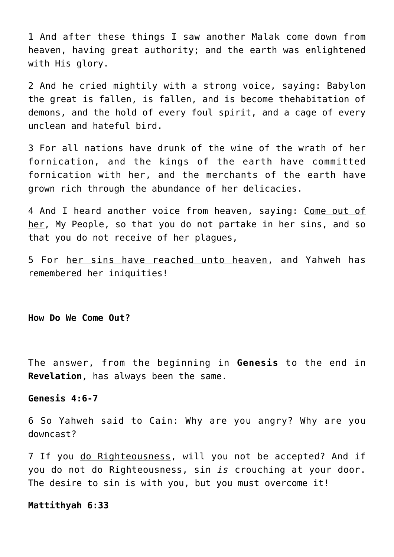1 And after these things I saw another Malak come down from heaven, having great authority; and the earth was enlightened with His glory.

2 And he cried mightily with a strong voice, saying: Babylon the great is fallen, is fallen, and is become thehabitation of demons, and the hold of every foul spirit, and a cage of every unclean and hateful bird.

3 For all nations have drunk of the wine of the wrath of her fornication, and the kings of the earth have committed fornication with her, and the merchants of the earth have grown rich through the abundance of her delicacies.

4 And I heard another voice from heaven, saying: Come out of her, My People, so that you do not partake in her sins, and so that you do not receive of her plagues,

5 For her sins have reached unto heaven, and Yahweh has remembered her iniquities!

#### **How Do We Come Out?**

The answer, from the beginning in **Genesis** to the end in **Revelation**, has always been the same.

#### **Genesis 4:6-7**

6 So Yahweh said to Cain: Why are you angry? Why are you downcast?

7 If you do Righteousness, will you not be accepted? And if you do not do Righteousness, sin *is* crouching at your door. The desire to sin is with you, but you must overcome it!

#### **Mattithyah 6:33**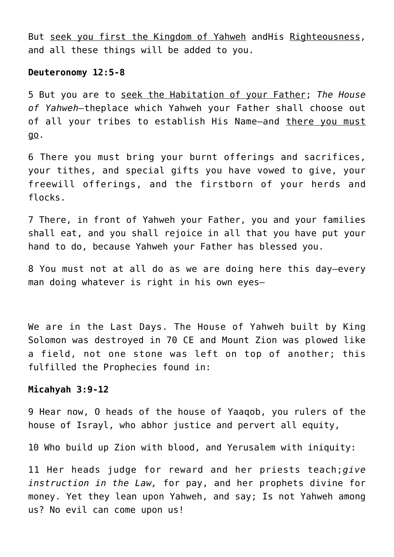But seek you first the Kingdom of Yahweh andHis Righteousness, and all these things will be added to you.

#### **Deuteronomy 12:5-8**

5 But you are to seek the Habitation of your Father; *The House of Yahweh—*theplace which Yahweh your Father shall choose out of all your tribes to establish His Name—and there you must go.

6 There you must bring your burnt offerings and sacrifices, your tithes, and special gifts you have vowed to give, your freewill offerings, and the firstborn of your herds and flocks.

7 There, in front of Yahweh your Father, you and your families shall eat, and you shall rejoice in all that you have put your hand to do, because Yahweh your Father has blessed you.

8 You must not at all do as we are doing here this day—every man doing whatever is right in his own eyes—

We are in the Last Days. The House of Yahweh built by King Solomon was destroyed in 70 CE and Mount Zion was plowed like a field, not one stone was left on top of another; this fulfilled the Prophecies found in:

#### **Micahyah 3:9-12**

9 Hear now, O heads of the house of Yaaqob, you rulers of the house of Israyl, who abhor justice and pervert all equity,

10 Who build up Zion with blood, and Yerusalem with iniquity:

11 Her heads judge for reward and her priests teach;*give instruction in the Law,* for pay, and her prophets divine for money. Yet they lean upon Yahweh, and say; Is not Yahweh among us? No evil can come upon us!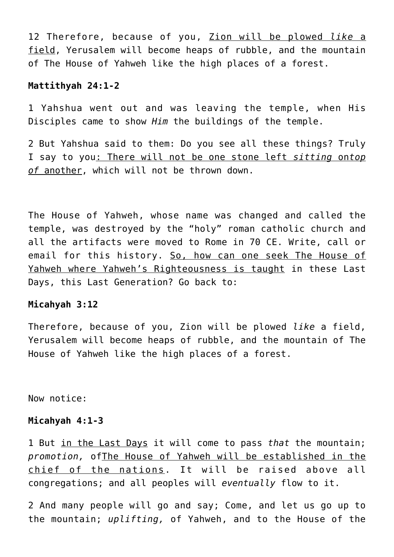12 Therefore, because of you, Zion will be plowed *like* a field, Yerusalem will become heaps of rubble, and the mountain of The House of Yahweh like the high places of a forest.

# **Mattithyah 24:1-2**

1 Yahshua went out and was leaving the temple, when His Disciples came to show *Him* the buildings of the temple.

2 But Yahshua said to them: Do you see all these things? Truly I say to you: There will not be one stone left *sitting* on*top of* another, which will not be thrown down.

The House of Yahweh, whose name was changed and called the temple, was destroyed by the "holy" roman catholic church and all the artifacts were moved to Rome in 70 CE. Write, call or email for this history. So, how can one seek The House of Yahweh where Yahweh's Righteousness is taught in these Last Days, this Last Generation? Go back to:

# **Micahyah 3:12**

Therefore, because of you, Zion will be plowed *like* a field, Yerusalem will become heaps of rubble, and the mountain of The House of Yahweh like the high places of a forest.

Now notice:

#### **Micahyah 4:1-3**

1 But in the Last Days it will come to pass *that* the mountain; *promotion,* ofThe House of Yahweh will be established in the chief of the nations. It will be raised above all congregations; and all peoples will *eventually* flow to it.

2 And many people will go and say; Come, and let us go up to the mountain; *uplifting,* of Yahweh, and to the House of the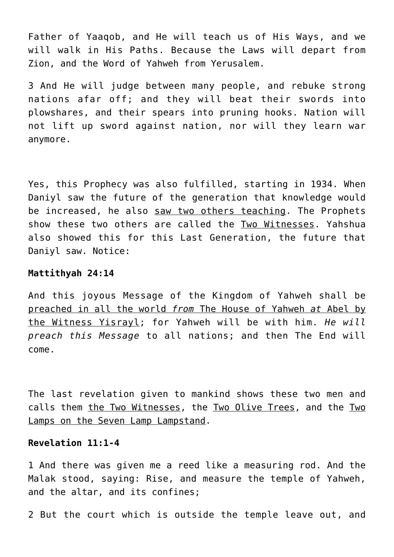Father of Yaaqob, and He will teach us of His Ways, and we will walk in His Paths. Because the Laws will depart from Zion, and the Word of Yahweh from Yerusalem.

3 And He will judge between many people, and rebuke strong nations afar off; and they will beat their swords into plowshares, and their spears into pruning hooks. Nation will not lift up sword against nation, nor will they learn war anymore.

Yes, this Prophecy was also fulfilled, starting in 1934. When Daniyl saw the future of the generation that knowledge would be increased, he also saw two others teaching. The Prophets show these two others are called the Two Witnesses. Yahshua also showed this for this Last Generation, the future that Daniyl saw. Notice:

#### **Mattithyah 24:14**

And this joyous Message of the Kingdom of Yahweh shall be preached in all the world *from* The House of Yahweh *at* Abel by the Witness Yisrayl; for Yahweh will be with him. *He will preach this Message* to all nations; and then The End will come.

The last revelation given to mankind shows these two men and calls them the Two Witnesses, the Two Olive Trees, and the Two Lamps on the Seven Lamp Lampstand.

# **Revelation 11:1-4**

1 And there was given me a reed like a measuring rod. And the Malak stood, saying: Rise, and measure the temple of Yahweh, and the altar, and its confines;

2 But the court which is outside the temple leave out, and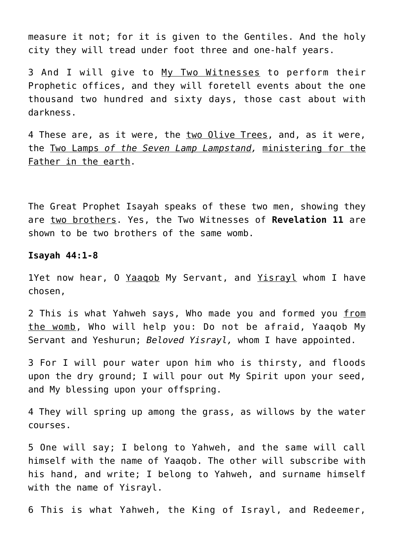measure it not; for it is given to the Gentiles. And the holy city they will tread under foot three and one-half years.

3 And I will give to My Two Witnesses to perform their Prophetic offices, and they will foretell events about the one thousand two hundred and sixty days, those cast about with darkness.

4 These are, as it were, the two Olive Trees, and, as it were, the Two Lamps *of the Seven Lamp Lampstand,* ministering for the Father in the earth.

The Great Prophet Isayah speaks of these two men, showing they are two brothers. Yes, the Two Witnesses of **Revelation 11** are shown to be two brothers of the same womb.

**Isayah 44:1-8**

1Yet now hear, O Yaagob My Servant, and Yisrayl whom I have chosen,

2 This is what Yahweh says, Who made you and formed you from the womb, Who will help you: Do not be afraid, Yaaqob My Servant and Yeshurun; *Beloved Yisrayl,* whom I have appointed.

3 For I will pour water upon him who is thirsty, and floods upon the dry ground; I will pour out My Spirit upon your seed, and My blessing upon your offspring.

4 They will spring up among the grass, as willows by the water courses.

5 One will say; I belong to Yahweh, and the same will call himself with the name of Yaaqob. The other will subscribe with his hand, and write; I belong to Yahweh, and surname himself with the name of Yisrayl.

6 This is what Yahweh, the King of Israyl, and Redeemer,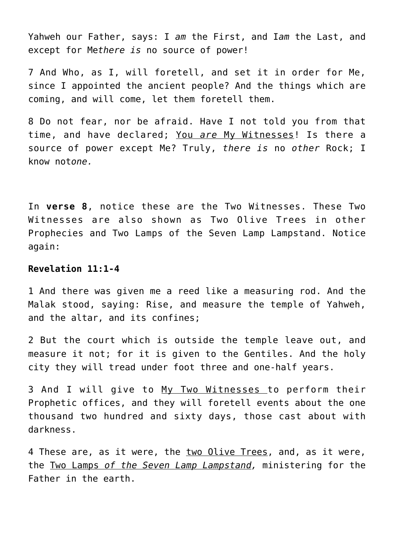Yahweh our Father, says: I *am* the First, and I*am* the Last, and except for Me*there is* no source of power!

7 And Who, as I, will foretell, and set it in order for Me, since I appointed the ancient people? And the things which are coming, and will come, let them foretell them.

8 Do not fear, nor be afraid. Have I not told you from that time, and have declared; You *are* My Witnesses! Is there a source of power except Me? Truly, *there is* no *other* Rock; I know not*one.*

In **verse 8**, notice these are the Two Witnesses. These Two Witnesses are also shown as Two Olive Trees in other Prophecies and Two Lamps of the Seven Lamp Lampstand. Notice again:

#### **Revelation 11:1-4**

1 And there was given me a reed like a measuring rod. And the Malak stood, saying: Rise, and measure the temple of Yahweh, and the altar, and its confines;

2 But the court which is outside the temple leave out, and measure it not; for it is given to the Gentiles. And the holy city they will tread under foot three and one-half years.

3 And I will give to My Two Witnesses to perform their Prophetic offices, and they will foretell events about the one thousand two hundred and sixty days, those cast about with darkness.

4 These are, as it were, the two Olive Trees, and, as it were, the Two Lamps *of the Seven Lamp Lampstand,* ministering for the Father in the earth.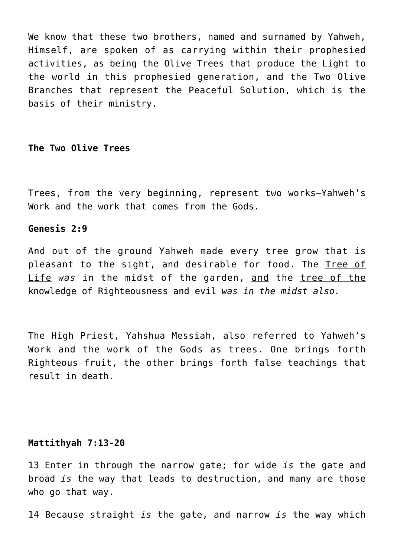We know that these two brothers, named and surnamed by Yahweh, Himself, are spoken of as carrying within their prophesied activities, as being the Olive Trees that produce the Light to the world in this prophesied generation, and the Two Olive Branches that represent the Peaceful Solution, which is the basis of their ministry.

#### **The Two Olive Trees**

Trees, from the very beginning, represent two works—Yahweh's Work and the work that comes from the Gods.

#### **Genesis 2:9**

And out of the ground Yahweh made every tree grow that is pleasant to the sight, and desirable for food. The Tree of Life *was* in the midst of the garden, and the tree of the knowledge of Righteousness and evil *was in the midst also.*

The High Priest, Yahshua Messiah, also referred to Yahweh's Work and the work of the Gods as trees. One brings forth Righteous fruit, the other brings forth false teachings that result in death.

#### **Mattithyah 7:13-20**

13 Enter in through the narrow gate; for wide *is* the gate and broad *is* the way that leads to destruction, and many are those who go that way.

14 Because straight *is* the gate, and narrow *is* the way which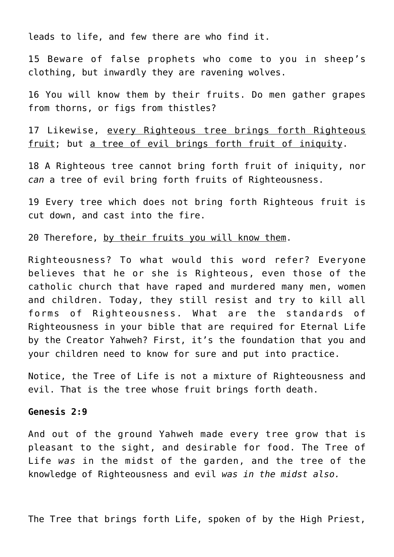leads to life, and few there are who find it.

15 Beware of false prophets who come to you in sheep's clothing, but inwardly they are ravening wolves.

16 You will know them by their fruits. Do men gather grapes from thorns, or figs from thistles?

17 Likewise, every Righteous tree brings forth Righteous fruit; but a tree of evil brings forth fruit of iniquity.

18 A Righteous tree cannot bring forth fruit of iniquity, nor *can* a tree of evil bring forth fruits of Righteousness.

19 Every tree which does not bring forth Righteous fruit is cut down, and cast into the fire.

20 Therefore, by their fruits you will know them.

Righteousness? To what would this word refer? Everyone believes that he or she is Righteous, even those of the catholic church that have raped and murdered many men, women and children. Today, they still resist and try to kill all forms of Righteousness. What are the standards of Righteousness in your bible that are required for Eternal Life by the Creator Yahweh? First, it's the foundation that you and your children need to know for sure and put into practice.

Notice, the Tree of Life is not a mixture of Righteousness and evil. That is the tree whose fruit brings forth death.

#### **Genesis 2:9**

And out of the ground Yahweh made every tree grow that is pleasant to the sight, and desirable for food. The Tree of Life *was* in the midst of the garden, and the tree of the knowledge of Righteousness and evil *was in the midst also.*

The Tree that brings forth Life, spoken of by the High Priest,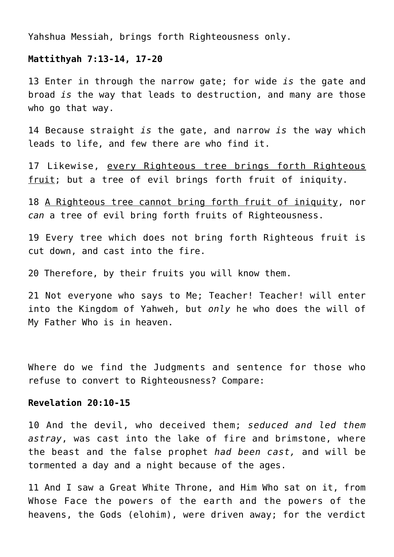Yahshua Messiah, brings forth Righteousness only.

#### **Mattithyah 7:13-14, 17-20**

13 Enter in through the narrow gate; for wide *is* the gate and broad *is* the way that leads to destruction, and many are those who go that way.

14 Because straight *is* the gate, and narrow *is* the way which leads to life, and few there are who find it.

17 Likewise, every Righteous tree brings forth Righteous fruit; but a tree of evil brings forth fruit of iniquity.

18 A Righteous tree cannot bring forth fruit of iniquity, nor *can* a tree of evil bring forth fruits of Righteousness.

19 Every tree which does not bring forth Righteous fruit is cut down, and cast into the fire.

20 Therefore, by their fruits you will know them.

21 Not everyone who says to Me; Teacher! Teacher! will enter into the Kingdom of Yahweh, but *only* he who does the will of My Father Who is in heaven.

Where do we find the Judgments and sentence for those who refuse to convert to Righteousness? Compare:

#### **Revelation 20:10-15**

10 And the devil, who deceived them; *seduced and led them astray*, was cast into the lake of fire and brimstone, where the beast and the false prophet *had been cast,* and will be tormented a day and a night because of the ages.

11 And I saw a Great White Throne, and Him Who sat on it, from Whose Face the powers of the earth and the powers of the heavens, the Gods (elohim), were driven away; for the verdict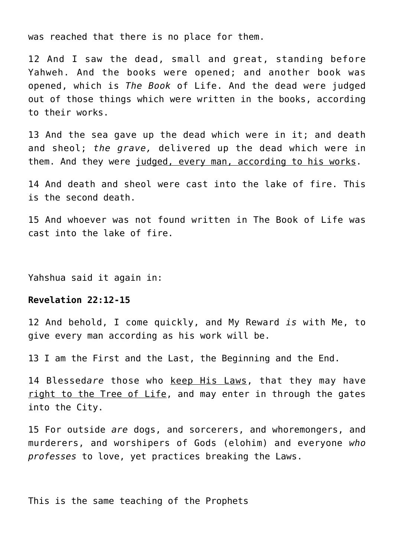was reached that there is no place for them.

12 And I saw the dead, small and great, standing before Yahweh. And the books were opened; and another book was opened, which is *The Book* of Life. And the dead were judged out of those things which were written in the books, according to their works.

13 And the sea gave up the dead which were in it; and death and sheol; *the grave,* delivered up the dead which were in them. And they were judged, every man, according to his works.

14 And death and sheol were cast into the lake of fire. This is the second death.

15 And whoever was not found written in The Book of Life was cast into the lake of fire.

Yahshua said it again in:

#### **Revelation 22:12-15**

12 And behold, I come quickly, and My Reward *is* with Me, to give every man according as his work will be.

13 I am the First and the Last, the Beginning and the End.

14 Blessed*are* those who keep His Laws, that they may have right to the Tree of Life, and may enter in through the gates into the City.

15 For outside *are* dogs, and sorcerers, and whoremongers, and murderers, and worshipers of Gods (elohim) and everyone *who professes* to love, yet practices breaking the Laws.

This is the same teaching of the Prophets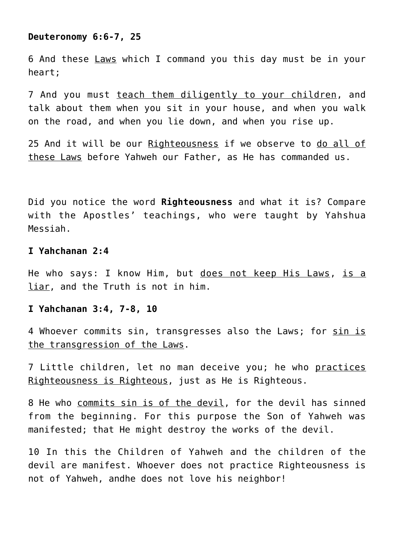#### **Deuteronomy 6:6-7, 25**

6 And these Laws which I command you this day must be in your heart;

7 And you must teach them diligently to your children, and talk about them when you sit in your house, and when you walk on the road, and when you lie down, and when you rise up.

25 And it will be our Righteousness if we observe to do all of these Laws before Yahweh our Father, as He has commanded us.

Did you notice the word **Righteousness** and what it is? Compare with the Apostles' teachings, who were taught by Yahshua Messiah.

#### **I Yahchanan 2:4**

He who says: I know Him, but does not keep His Laws, is a liar, and the Truth is not in him.

#### **I Yahchanan 3:4, 7-8, 10**

4 Whoever commits sin, transgresses also the Laws; for sin is the transgression of the Laws.

7 Little children, let no man deceive you; he who practices Righteousness is Righteous, just as He is Righteous.

8 He who commits sin is of the devil, for the devil has sinned from the beginning. For this purpose the Son of Yahweh was manifested; that He might destroy the works of the devil.

10 In this the Children of Yahweh and the children of the devil are manifest. Whoever does not practice Righteousness is not of Yahweh, andhe does not love his neighbor!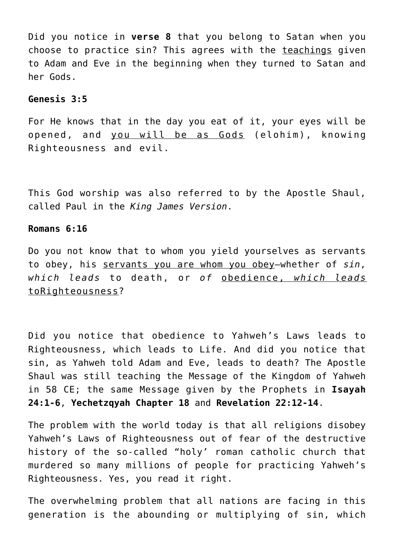Did you notice in **verse 8** that you belong to Satan when you choose to practice sin? This agrees with the teachings given to Adam and Eve in the beginning when they turned to Satan and her Gods.

# **Genesis 3:5**

For He knows that in the day you eat of it, your eyes will be opened, and you will be as Gods (elohim), knowing Righteousness and evil.

This God worship was also referred to by the Apostle Shaul, called Paul in the *King James Version*.

#### **Romans 6:16**

Do you not know that to whom you yield yourselves as servants to obey, his servants you are whom you obey—whether of *sin*, *which leads* to death, or *of* obedience, *which leads* toRighteousness?

Did you notice that obedience to Yahweh's Laws leads to Righteousness, which leads to Life. And did you notice that sin, as Yahweh told Adam and Eve, leads to death? The Apostle Shaul was still teaching the Message of the Kingdom of Yahweh in 58 CE; the same Message given by the Prophets in **Isayah 24:1-6**, **Yechetzqyah Chapter 18** and **Revelation 22:12-14**.

The problem with the world today is that all religions disobey Yahweh's Laws of Righteousness out of fear of the destructive history of the so-called "holy' roman catholic church that murdered so many millions of people for practicing Yahweh's Righteousness. Yes, you read it right.

The overwhelming problem that all nations are facing in this generation is the abounding or multiplying of sin, which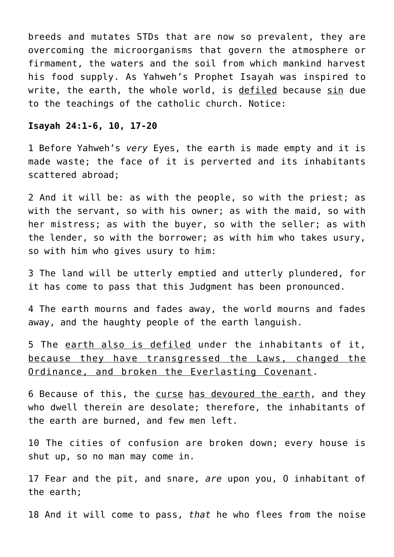breeds and mutates STDs that are now so prevalent, they are overcoming the microorganisms that govern the atmosphere or firmament, the waters and the soil from which mankind harvest his food supply. As Yahweh's Prophet Isayah was inspired to write, the earth, the whole world, is defiled because sin due to the teachings of the catholic church. Notice:

#### **Isayah 24:1-6, 10, 17-20**

1 Before Yahweh's *very* Eyes, the earth is made empty and it is made waste; the face of it is perverted and its inhabitants scattered abroad;

2 And it will be: as with the people, so with the priest; as with the servant, so with his owner; as with the maid, so with her mistress; as with the buyer, so with the seller; as with the lender, so with the borrower; as with him who takes usury, so with him who gives usury to him:

3 The land will be utterly emptied and utterly plundered, for it has come to pass that this Judgment has been pronounced.

4 The earth mourns and fades away, the world mourns and fades away, and the haughty people of the earth languish.

5 The earth also is defiled under the inhabitants of it, because they have transgressed the Laws, changed the Ordinance, and broken the Everlasting Covenant.

6 Because of this, the curse has devoured the earth, and they who dwell therein are desolate; therefore, the inhabitants of the earth are burned, and few men left.

10 The cities of confusion are broken down; every house is shut up, so no man may come in.

17 Fear and the pit, and snare, *are* upon you, O inhabitant of the earth;

18 And it will come to pass, *that* he who flees from the noise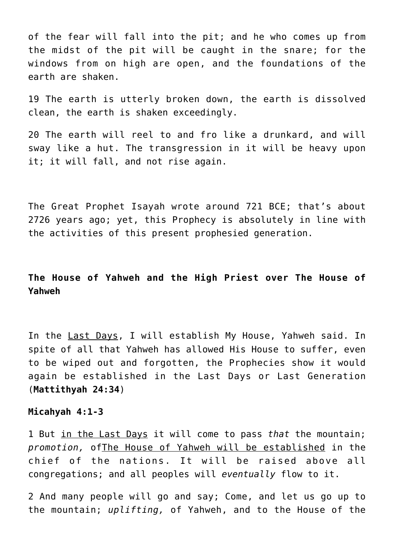of the fear will fall into the pit; and he who comes up from the midst of the pit will be caught in the snare; for the windows from on high are open, and the foundations of the earth are shaken.

19 The earth is utterly broken down, the earth is dissolved clean, the earth is shaken exceedingly.

20 The earth will reel to and fro like a drunkard, and will sway like a hut. The transgression in it will be heavy upon it; it will fall, and not rise again.

The Great Prophet Isayah wrote around 721 BCE; that's about 2726 years ago; yet, this Prophecy is absolutely in line with the activities of this present prophesied generation.

# **The House of Yahweh and the High Priest over The House of Yahweh**

In the Last Days, I will establish My House, Yahweh said. In spite of all that Yahweh has allowed His House to suffer, even to be wiped out and forgotten, the Prophecies show it would again be established in the Last Days or Last Generation (**Mattithyah 24:34**)

#### **Micahyah 4:1-3**

1 But in the Last Days it will come to pass *that* the mountain; *promotion,* ofThe House of Yahweh will be established in the chief of the nations. It will be raised above all congregations; and all peoples will *eventually* flow to it.

2 And many people will go and say; Come, and let us go up to the mountain; *uplifting,* of Yahweh, and to the House of the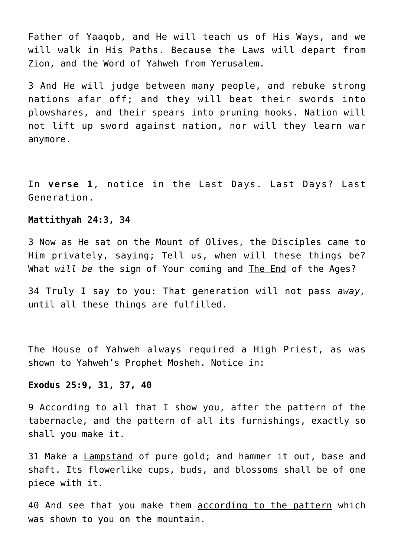Father of Yaaqob, and He will teach us of His Ways, and we will walk in His Paths. Because the Laws will depart from Zion, and the Word of Yahweh from Yerusalem.

3 And He will judge between many people, and rebuke strong nations afar off; and they will beat their swords into plowshares, and their spears into pruning hooks. Nation will not lift up sword against nation, nor will they learn war anymore.

In **verse 1**, notice in the Last Days. Last Days? Last Generation.

#### **Mattithyah 24:3, 34**

3 Now as He sat on the Mount of Olives, the Disciples came to Him privately, saying; Tell us, when will these things be? What *will be* the sign of Your coming and The End of the Ages?

34 Truly I say to you: That generation will not pass *away,* until all these things are fulfilled.

The House of Yahweh always required a High Priest, as was shown to Yahweh's Prophet Mosheh. Notice in:

#### **Exodus 25:9, 31, 37, 40**

9 According to all that I show you, after the pattern of the tabernacle, and the pattern of all its furnishings, exactly so shall you make it.

31 Make a Lampstand of pure gold; and hammer it out, base and shaft. Its flowerlike cups, buds, and blossoms shall be of one piece with it.

40 And see that you make them according to the pattern which was shown to you on the mountain.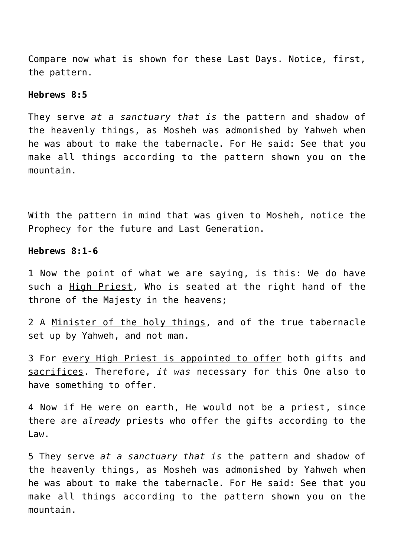Compare now what is shown for these Last Days. Notice, first, the pattern.

#### **Hebrews 8:5**

They serve *at a sanctuary that is* the pattern and shadow of the heavenly things, as Mosheh was admonished by Yahweh when he was about to make the tabernacle. For He said: See that you make all things according to the pattern shown you on the mountain.

With the pattern in mind that was given to Mosheh, notice the Prophecy for the future and Last Generation.

#### **Hebrews 8:1-6**

1 Now the point of what we are saying, is this: We do have such a High Priest, Who is seated at the right hand of the throne of the Majesty in the heavens;

2 A Minister of the holy things, and of the true tabernacle set up by Yahweh, and not man.

3 For every High Priest is appointed to offer both gifts and sacrifices. Therefore, *it was* necessary for this One also to have something to offer.

4 Now if He were on earth, He would not be a priest, since there are *already* priests who offer the gifts according to the Law.

5 They serve *at a sanctuary that is* the pattern and shadow of the heavenly things, as Mosheh was admonished by Yahweh when he was about to make the tabernacle. For He said: See that you make all things according to the pattern shown you on the mountain.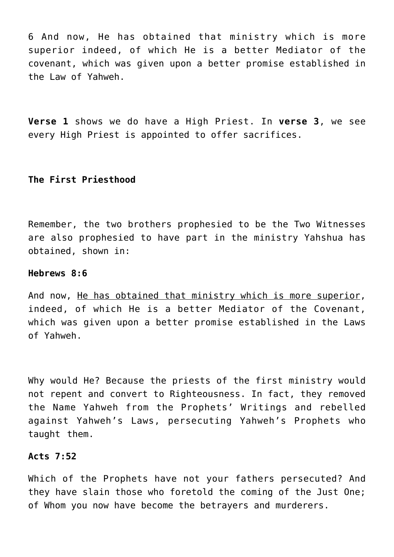6 And now, He has obtained that ministry which is more superior indeed, of which He is a better Mediator of the covenant, which was given upon a better promise established in the Law of Yahweh.

**Verse 1** shows we do have a High Priest. In **verse 3**, we see every High Priest is appointed to offer sacrifices.

# **The First Priesthood**

Remember, the two brothers prophesied to be the Two Witnesses are also prophesied to have part in the ministry Yahshua has obtained, shown in:

# **Hebrews 8:6**

And now, He has obtained that ministry which is more superior, indeed, of which He is a better Mediator of the Covenant, which was given upon a better promise established in the Laws of Yahweh.

Why would He? Because the priests of the first ministry would not repent and convert to Righteousness. In fact, they removed the Name Yahweh from the Prophets' Writings and rebelled against Yahweh's Laws, persecuting Yahweh's Prophets who taught them.

# **Acts 7:52**

Which of the Prophets have not your fathers persecuted? And they have slain those who foretold the coming of the Just One; of Whom you now have become the betrayers and murderers.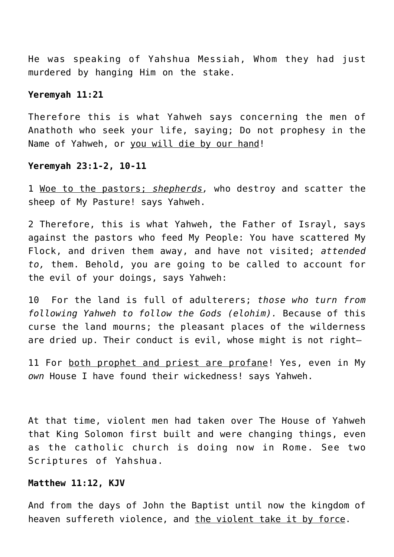He was speaking of Yahshua Messiah, Whom they had just murdered by hanging Him on the stake.

#### **Yeremyah 11:21**

Therefore this is what Yahweh says concerning the men of Anathoth who seek your life, saying; Do not prophesy in the Name of Yahweh, or you will die by our hand!

#### **Yeremyah 23:1-2, 10-11**

1 Woe to the pastors; *shepherds,* who destroy and scatter the sheep of My Pasture! says Yahweh.

2 Therefore, this is what Yahweh, the Father of Israyl, says against the pastors who feed My People: You have scattered My Flock, and driven them away, and have not visited; *attended to,* them. Behold, you are going to be called to account for the evil of your doings, says Yahweh:

10 For the land is full of adulterers; *those who turn from following Yahweh to follow the Gods (elohim).* Because of this curse the land mourns; the pleasant places of the wilderness are dried up. Their conduct is evil, whose might is not right-

11 For both prophet and priest are profane! Yes, even in My *own* House I have found their wickedness! says Yahweh.

At that time, violent men had taken over The House of Yahweh that King Solomon first built and were changing things, even as the catholic church is doing now in Rome. See two Scriptures of Yahshua.

#### **Matthew 11:12, KJV**

And from the days of John the Baptist until now the kingdom of heaven suffereth violence, and the violent take it by force.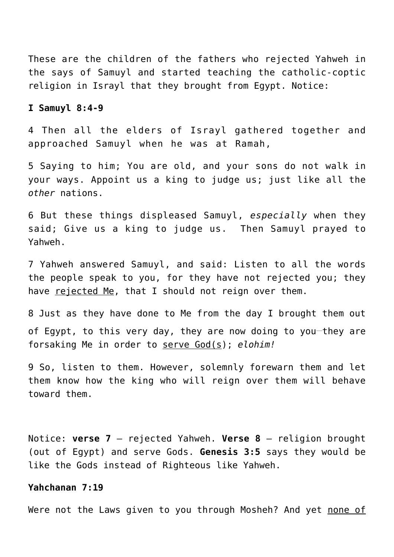These are the children of the fathers who rejected Yahweh in the says of Samuyl and started teaching the catholic-coptic religion in Israyl that they brought from Egypt. Notice:

# **I Samuyl 8:4-9**

4 Then all the elders of Israyl gathered together and approached Samuyl when he was at Ramah,

5 Saying to him; You are old, and your sons do not walk in your ways. Appoint us a king to judge us; just like all the *other* nations.

6 But these things displeased Samuyl, *especially* when they said; Give us a king to judge us. Then Samuyl prayed to Yahweh.

7 Yahweh answered Samuyl, and said: Listen to all the words the people speak to you, for they have not rejected you; they have rejected Me, that I should not reign over them.

8 Just as they have done to Me from the day I brought them out of Egypt, to this very day, they are now doing to you-they are forsaking Me in order to serve God(s); *elohim!*

9 So, listen to them. However, solemnly forewarn them and let them know how the king who will reign over them will behave toward them.

Notice: **verse 7** – rejected Yahweh. **Verse 8** – religion brought (out of Egypt) and serve Gods. **Genesis 3:5** says they would be like the Gods instead of Righteous like Yahweh.

#### **Yahchanan 7:19**

Were not the Laws given to you through Mosheh? And yet none of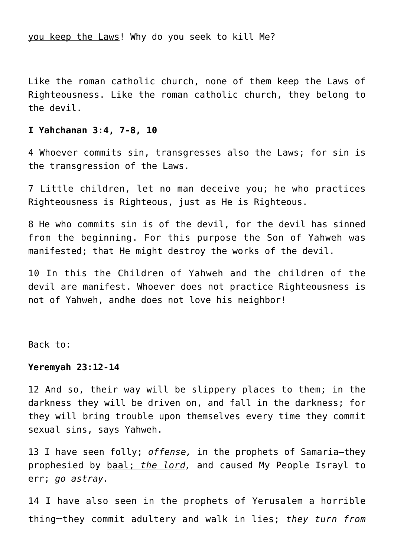you keep the Laws! Why do you seek to kill Me?

Like the roman catholic church, none of them keep the Laws of Righteousness. Like the roman catholic church, they belong to the devil.

#### **I Yahchanan 3:4, 7-8, 10**

4 Whoever commits sin, transgresses also the Laws; for sin is the transgression of the Laws.

7 Little children, let no man deceive you; he who practices Righteousness is Righteous, just as He is Righteous.

8 He who commits sin is of the devil, for the devil has sinned from the beginning. For this purpose the Son of Yahweh was manifested; that He might destroy the works of the devil.

10 In this the Children of Yahweh and the children of the devil are manifest. Whoever does not practice Righteousness is not of Yahweh, andhe does not love his neighbor!

Back to:

# **Yeremyah 23:12-14**

12 And so, their way will be slippery places to them; in the darkness they will be driven on, and fall in the darkness; for they will bring trouble upon themselves every time they commit sexual sins, says Yahweh.

13 I have seen folly; *offense,* in the prophets of Samaria—they prophesied by baal; *the lord,* and caused My People Israyl to err; *go astray.*

14 I have also seen in the prophets of Yerusalem a horrible thing**\_\_**they commit adultery and walk in lies; *they turn from*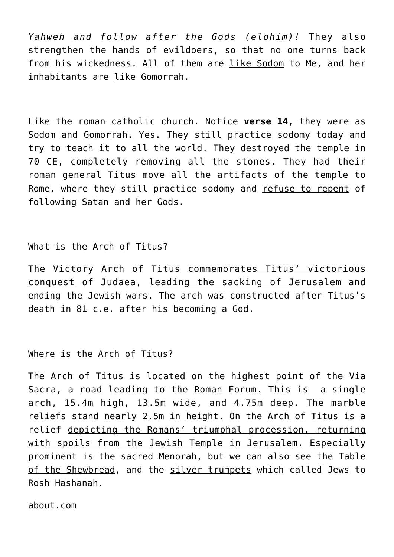*Yahweh and follow after the Gods (elohim)!* They also strengthen the hands of evildoers, so that no one turns back from his wickedness. All of them are like Sodom to Me, and her inhabitants are like Gomorrah.

Like the roman catholic church. Notice **verse 14**, they were as Sodom and Gomorrah. Yes. They still practice sodomy today and try to teach it to all the world. They destroyed the temple in 70 CE, completely removing all the stones. They had their roman general Titus move all the artifacts of the temple to Rome, where they still practice sodomy and refuse to repent of following Satan and her Gods.

# What is the Arch of Titus?

The Victory Arch of Titus commemorates Titus' victorious conquest of Judaea, leading the sacking of Jerusalem and ending the Jewish wars. The arch was constructed after Titus's death in 81 c.e. after his becoming a God.

# Where is the Arch of Titus?

The Arch of Titus is located on the highest point of the Via Sacra, a road leading to the Roman Forum. This is a single arch, 15.4m high, 13.5m wide, and 4.75m deep. The marble reliefs stand nearly 2.5m in height. On the Arch of Titus is a relief depicting the Romans' triumphal procession, returning with spoils from the Jewish Temple in Jerusalem. Especially prominent is the sacred Menorah, but we can also see the Table of the Shewbread, and the silver trumpets which called Jews to Rosh Hashanah.

about.com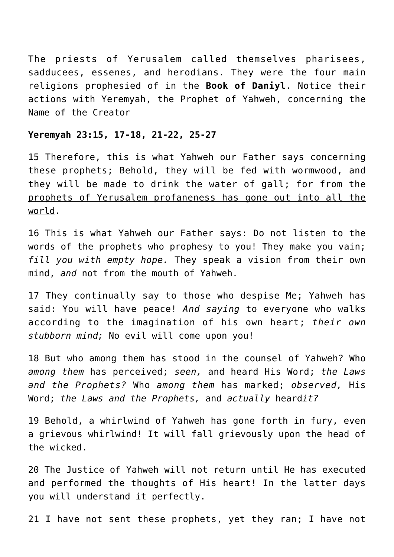The priests of Yerusalem called themselves pharisees, sadducees, essenes, and herodians. They were the four main religions prophesied of in the **Book of Daniyl**. Notice their actions with Yeremyah, the Prophet of Yahweh, concerning the Name of the Creator

# **Yeremyah 23:15, 17-18, 21-22, 25-27**

15 Therefore, this is what Yahweh our Father says concerning these prophets; Behold, they will be fed with wormwood, and they will be made to drink the water of gall; for from the prophets of Yerusalem profaneness has gone out into all the world.

16 This is what Yahweh our Father says: Do not listen to the words of the prophets who prophesy to you! They make you vain; *fill you with empty hope.* They speak a vision from their own mind, *and* not from the mouth of Yahweh.

17 They continually say to those who despise Me; Yahweh has said: You will have peace! *And saying* to everyone who walks according to the imagination of his own heart; *their own stubborn mind;* No evil will come upon you!

18 But who among them has stood in the counsel of Yahweh? Who *among them* has perceived; *seen,* and heard His Word; *the Laws and the Prophets?* Who *among them* has marked; *observed,* His Word; *the Laws and the Prophets,* and *actually* heard*it?*

19 Behold, a whirlwind of Yahweh has gone forth in fury, even a grievous whirlwind! It will fall grievously upon the head of the wicked.

20 The Justice of Yahweh will not return until He has executed and performed the thoughts of His heart! In the latter days you will understand it perfectly.

21 I have not sent these prophets, yet they ran; I have not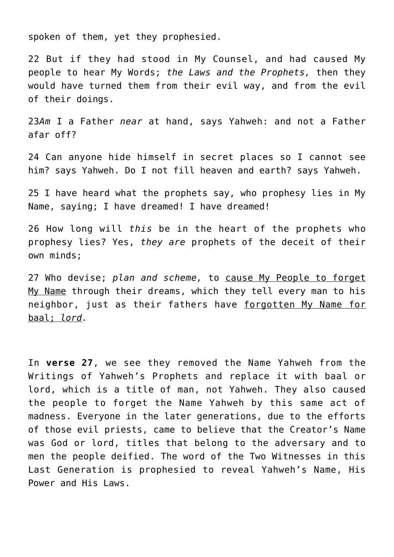spoken of them, yet they prophesied.

22 But if they had stood in My Counsel, and had caused My people to hear My Words; *the Laws and the Prophets,* then they would have turned them from their evil way, and from the evil of their doings.

23*Am* I a Father *near* at hand, says Yahweh: and not a Father afar off?

24 Can anyone hide himself in secret places so I cannot see him? says Yahweh. Do I not fill heaven and earth? says Yahweh.

25 I have heard what the prophets say, who prophesy lies in My Name, saying; I have dreamed! I have dreamed!

26 How long will *this* be in the heart of the prophets who prophesy lies? Yes, *they are* prophets of the deceit of their own minds;

27 Who devise; *plan and scheme,* to cause My People to forget My Name through their dreams, which they tell every man to his neighbor, just as their fathers have forgotten My Name for baal; *lord.*

In **verse 27**, we see they removed the Name Yahweh from the Writings of Yahweh's Prophets and replace it with baal or lord, which is a title of man, not Yahweh. They also caused the people to forget the Name Yahweh by this same act of madness. Everyone in the later generations, due to the efforts of those evil priests, came to believe that the Creator's Name was God or lord, titles that belong to the adversary and to men the people deified. The word of the Two Witnesses in this Last Generation is prophesied to reveal Yahweh's Name, His Power and His Laws.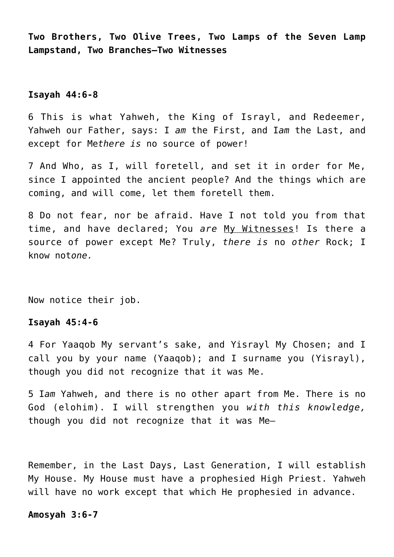**Two Brothers, Two Olive Trees, Two Lamps of the Seven Lamp Lampstand, Two Branches—Two Witnesses**

# **Isayah 44:6-8**

6 This is what Yahweh, the King of Israyl, and Redeemer, Yahweh our Father, says: I *am* the First, and I*am* the Last, and except for Me*there is* no source of power!

7 And Who, as I, will foretell, and set it in order for Me, since I appointed the ancient people? And the things which are coming, and will come, let them foretell them.

8 Do not fear, nor be afraid. Have I not told you from that time, and have declared; You *are* My Witnesses! Is there a source of power except Me? Truly, *there is* no *other* Rock; I know not*one.*

Now notice their job.

## **Isayah 45:4-6**

4 For Yaaqob My servant's sake, and Yisrayl My Chosen; and I call you by your name (Yaaqob); and I surname you (Yisrayl), though you did not recognize that it was Me.

5 I*am* Yahweh, and there is no other apart from Me. There is no God (elohim). I will strengthen you *with this knowledge,* though you did not recognize that it was Me—

Remember, in the Last Days, Last Generation, I will establish My House. My House must have a prophesied High Priest. Yahweh will have no work except that which He prophesied in advance.

#### **Amosyah 3:6-7**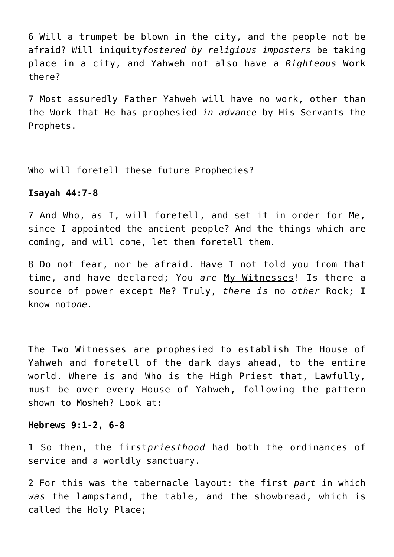6 Will a trumpet be blown in the city, and the people not be afraid? Will iniquity*fostered by religious imposters* be taking place in a city, and Yahweh not also have a *Righteous* Work there?

7 Most assuredly Father Yahweh will have no work, other than the Work that He has prophesied *in advance* by His Servants the Prophets.

Who will foretell these future Prophecies?

# **Isayah 44:7-8**

7 And Who, as I, will foretell, and set it in order for Me, since I appointed the ancient people? And the things which are coming, and will come, let them foretell them.

8 Do not fear, nor be afraid. Have I not told you from that time, and have declared; You *are* My Witnesses! Is there a source of power except Me? Truly, *there is* no *other* Rock; I know not*one.*

The Two Witnesses are prophesied to establish The House of Yahweh and foretell of the dark days ahead, to the entire world. Where is and Who is the High Priest that, Lawfully, must be over every House of Yahweh, following the pattern shown to Mosheh? Look at:

# **Hebrews 9:1-2, 6-8**

1 So then, the first*priesthood* had both the ordinances of service and a worldly sanctuary.

2 For this was the tabernacle layout: the first *part* in which *was* the lampstand, the table, and the showbread, which is called the Holy Place;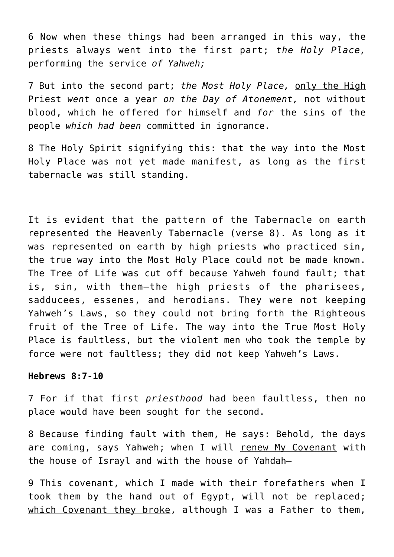6 Now when these things had been arranged in this way, the priests always went into the first part; *the Holy Place,* performing the service *of Yahweh;*

7 But into the second part; *the Most Holy Place,* only the High Priest *went* once a year *on the Day of Atonement,* not without blood, which he offered for himself and *for* the sins of the people *which had been* committed in ignorance.

8 The Holy Spirit signifying this: that the way into the Most Holy Place was not yet made manifest, as long as the first tabernacle was still standing.

It is evident that the pattern of the Tabernacle on earth represented the Heavenly Tabernacle (verse 8). As long as it was represented on earth by high priests who practiced sin, the true way into the Most Holy Place could not be made known. The Tree of Life was cut off because Yahweh found fault; that is, sin, with them—the high priests of the pharisees, sadducees, essenes, and herodians. They were not keeping Yahweh's Laws, so they could not bring forth the Righteous fruit of the Tree of Life. The way into the True Most Holy Place is faultless, but the violent men who took the temple by force were not faultless; they did not keep Yahweh's Laws.

# **Hebrews 8:7-10**

7 For if that first *priesthood* had been faultless, then no place would have been sought for the second.

8 Because finding fault with them, He says: Behold, the days are coming, says Yahweh; when I will renew My Covenant with the house of Israyl and with the house of Yahdah—

9 This covenant, which I made with their forefathers when I took them by the hand out of Egypt, will not be replaced; which Covenant they broke, although I was a Father to them,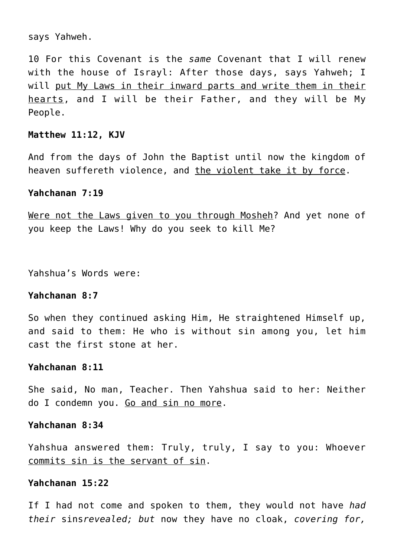says Yahweh.

10 For this Covenant is the *same* Covenant that I will renew with the house of Israyl: After those days, says Yahweh; I will put My Laws in their inward parts and write them in their hearts, and I will be their Father, and they will be My People.

# **Matthew 11:12, KJV**

And from the days of John the Baptist until now the kingdom of heaven suffereth violence, and the violent take it by force.

## **Yahchanan 7:19**

Were not the Laws given to you through Mosheh? And yet none of you keep the Laws! Why do you seek to kill Me?

Yahshua's Words were:

# **Yahchanan 8:7**

So when they continued asking Him, He straightened Himself up, and said to them: He who is without sin among you, let him cast the first stone at her.

## **Yahchanan 8:11**

She said, No man, Teacher. Then Yahshua said to her: Neither do I condemn you. Go and sin no more.

## **Yahchanan 8:34**

Yahshua answered them: Truly, truly, I say to you: Whoever commits sin is the servant of sin.

# **Yahchanan 15:22**

If I had not come and spoken to them, they would not have *had their* sins*revealed; but* now they have no cloak, *covering for,*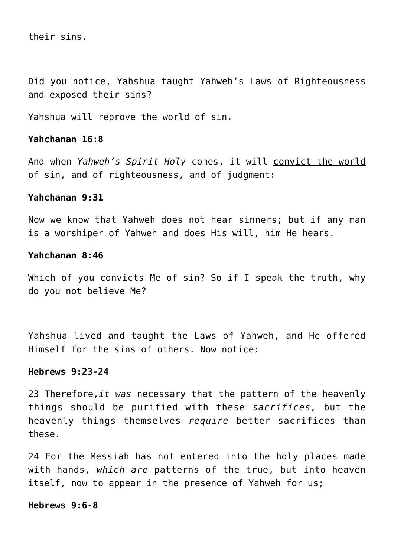their sins.

Did you notice, Yahshua taught Yahweh's Laws of Righteousness and exposed their sins?

Yahshua will reprove the world of sin.

# **Yahchanan 16:8**

And when *Yahweh's Spirit Holy* comes, it will convict the world of sin, and of righteousness, and of judgment:

# **Yahchanan 9:31**

Now we know that Yahweh does not hear sinners; but if any man is a worshiper of Yahweh and does His will, him He hears.

# **Yahchanan 8:46**

Which of you convicts Me of sin? So if I speak the truth, why do you not believe Me?

Yahshua lived and taught the Laws of Yahweh, and He offered Himself for the sins of others. Now notice:

# **Hebrews 9:23-24**

23 Therefore,*it was* necessary that the pattern of the heavenly things should be purified with these *sacrifices,* but the heavenly things themselves *require* better sacrifices than these.

24 For the Messiah has not entered into the holy places made with hands, *which are* patterns of the true, but into heaven itself, now to appear in the presence of Yahweh for us;

# **Hebrews 9:6-8**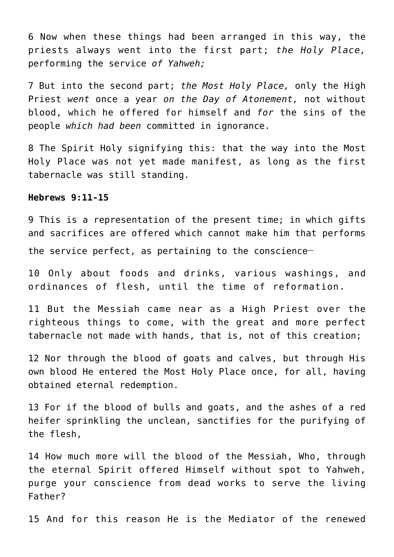6 Now when these things had been arranged in this way, the priests always went into the first part; *the Holy Place,* performing the service *of Yahweh;*

7 But into the second part; *the Most Holy Place,* only the High Priest *went* once a year *on the Day of Atonement,* not without blood, which he offered for himself and *for* the sins of the people *which had been* committed in ignorance.

8 The Spirit Holy signifying this: that the way into the Most Holy Place was not yet made manifest, as long as the first tabernacle was still standing.

## **Hebrews 9:11-15**

9 This is a representation of the present time; in which gifts and sacrifices are offered which cannot make him that performs the service perfect, as pertaining to the conscience**\_\_**

10 Only about foods and drinks, various washings, and ordinances of flesh, until the time of reformation.

11 But the Messiah came near as a High Priest over the righteous things to come, with the great and more perfect tabernacle not made with hands, that is, not of this creation;

12 Nor through the blood of goats and calves, but through His own blood He entered the Most Holy Place once, for all, having obtained eternal redemption.

13 For if the blood of bulls and goats, and the ashes of a red heifer sprinkling the unclean, sanctifies for the purifying of the flesh,

14 How much more will the blood of the Messiah, Who, through the eternal Spirit offered Himself without spot to Yahweh, purge your conscience from dead works to serve the living Father?

15 And for this reason He is the Mediator of the renewed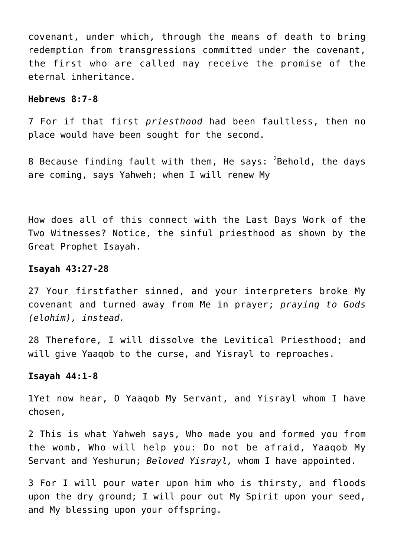covenant, under which, through the means of death to bring redemption from transgressions committed under the covenant, the first who are called may receive the promise of the eternal inheritance.

# **Hebrews 8:7-8**

7 For if that first *priesthood* had been faultless, then no place would have been sought for the second.

8 Because finding fault with them, He says: <sup>2</sup>Behold, the days are coming, says Yahweh; when I will renew My

How does all of this connect with the Last Days Work of the Two Witnesses? Notice, the sinful priesthood as shown by the Great Prophet Isayah.

## **Isayah 43:27-28**

27 Your firstfather sinned, and your interpreters broke My covenant and turned away from Me in prayer; *praying to Gods (elohim), instead.*

28 Therefore, I will dissolve the Levitical Priesthood; and will give Yaaqob to the curse, and Yisrayl to reproaches.

# **Isayah 44:1-8**

1Yet now hear, O Yaaqob My Servant, and Yisrayl whom I have chosen,

2 This is what Yahweh says, Who made you and formed you from the womb, Who will help you: Do not be afraid, Yaaqob My Servant and Yeshurun; *Beloved Yisrayl,* whom I have appointed.

3 For I will pour water upon him who is thirsty, and floods upon the dry ground; I will pour out My Spirit upon your seed, and My blessing upon your offspring.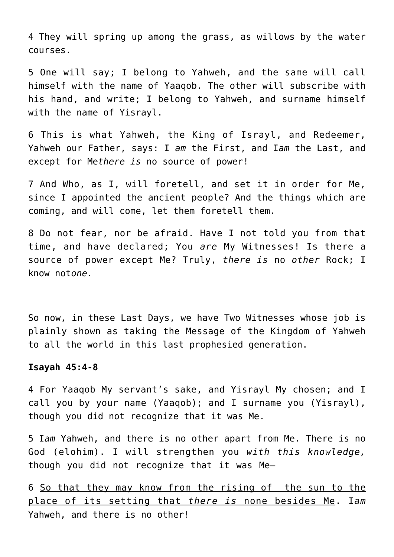4 They will spring up among the grass, as willows by the water courses.

5 One will say; I belong to Yahweh, and the same will call himself with the name of Yaaqob. The other will subscribe with his hand, and write; I belong to Yahweh, and surname himself with the name of Yisrayl.

6 This is what Yahweh, the King of Israyl, and Redeemer, Yahweh our Father, says: I *am* the First, and I*am* the Last, and except for Me*there is* no source of power!

7 And Who, as I, will foretell, and set it in order for Me, since I appointed the ancient people? And the things which are coming, and will come, let them foretell them.

8 Do not fear, nor be afraid. Have I not told you from that time, and have declared; You *are* My Witnesses! Is there a source of power except Me? Truly, *there is* no *other* Rock; I know not*one.*

So now, in these Last Days, we have Two Witnesses whose job is plainly shown as taking the Message of the Kingdom of Yahweh to all the world in this last prophesied generation.

#### **Isayah 45:4-8**

4 For Yaaqob My servant's sake, and Yisrayl My chosen; and I call you by your name (Yaaqob); and I surname you (Yisrayl), though you did not recognize that it was Me.

5 I*am* Yahweh, and there is no other apart from Me. There is no God (elohim). I will strengthen you *with this knowledge,* though you did not recognize that it was Me—

6 So that they may know from the rising of the sun to the place of its setting that *there is* none besides Me. I*am* Yahweh, and there is no other!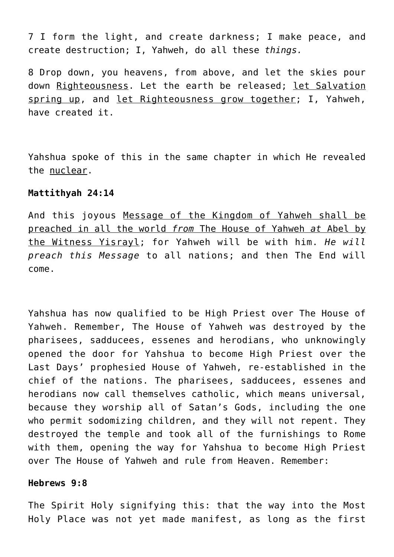7 I form the light, and create darkness; I make peace, and create destruction; I, Yahweh, do all these *things.*

8 Drop down, you heavens, from above, and let the skies pour down Righteousness. Let the earth be released; let Salvation spring up, and let Righteousness grow together; I, Yahweh, have created it.

Yahshua spoke of this in the same chapter in which He revealed the nuclear.

# **Mattithyah 24:14**

And this joyous Message of the Kingdom of Yahweh shall be preached in all the world *from* The House of Yahweh *at* Abel by the Witness Yisrayl; for Yahweh will be with him. *He will preach this Message* to all nations; and then The End will come.

Yahshua has now qualified to be High Priest over The House of Yahweh. Remember, The House of Yahweh was destroyed by the pharisees, sadducees, essenes and herodians, who unknowingly opened the door for Yahshua to become High Priest over the Last Days' prophesied House of Yahweh, re-established in the chief of the nations. The pharisees, sadducees, essenes and herodians now call themselves catholic, which means universal, because they worship all of Satan's Gods, including the one who permit sodomizing children, and they will not repent. They destroyed the temple and took all of the furnishings to Rome with them, opening the way for Yahshua to become High Priest over The House of Yahweh and rule from Heaven. Remember:

## **Hebrews 9:8**

The Spirit Holy signifying this: that the way into the Most Holy Place was not yet made manifest, as long as the first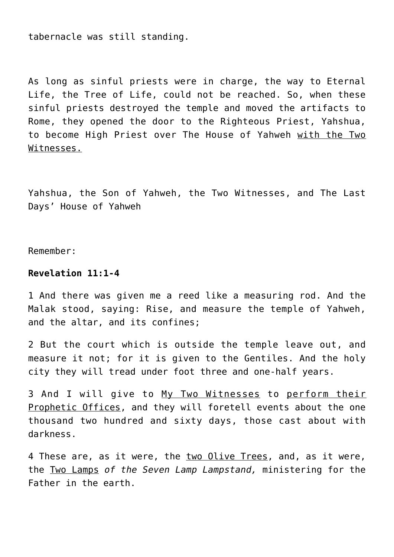tabernacle was still standing.

As long as sinful priests were in charge, the way to Eternal Life, the Tree of Life, could not be reached. So, when these sinful priests destroyed the temple and moved the artifacts to Rome, they opened the door to the Righteous Priest, Yahshua, to become High Priest over The House of Yahweh with the Two Witnesses.

Yahshua, the Son of Yahweh, the Two Witnesses, and The Last Days' House of Yahweh

Remember:

# **Revelation 11:1-4**

1 And there was given me a reed like a measuring rod. And the Malak stood, saying: Rise, and measure the temple of Yahweh, and the altar, and its confines;

2 But the court which is outside the temple leave out, and measure it not; for it is given to the Gentiles. And the holy city they will tread under foot three and one-half years.

3 And I will give to My Two Witnesses to perform their Prophetic Offices, and they will foretell events about the one thousand two hundred and sixty days, those cast about with darkness.

4 These are, as it were, the two Olive Trees, and, as it were, the Two Lamps *of the Seven Lamp Lampstand,* ministering for the Father in the earth.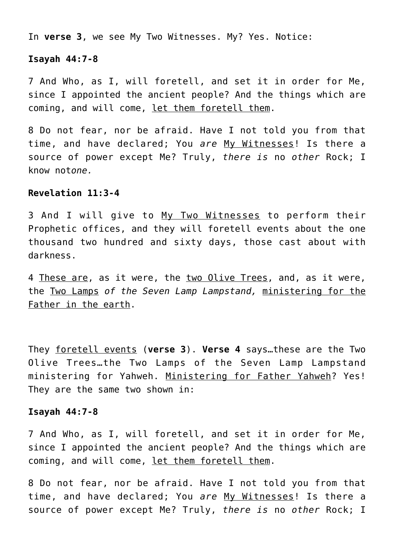In **verse 3**, we see My Two Witnesses. My? Yes. Notice:

#### **Isayah 44:7-8**

7 And Who, as I, will foretell, and set it in order for Me, since I appointed the ancient people? And the things which are coming, and will come, let them foretell them.

8 Do not fear, nor be afraid. Have I not told you from that time, and have declared; You *are* My Witnesses! Is there a source of power except Me? Truly, *there is* no *other* Rock; I know not*one.*

# **Revelation 11:3-4**

3 And I will give to My Two Witnesses to perform their Prophetic offices, and they will foretell events about the one thousand two hundred and sixty days, those cast about with darkness.

4 These are, as it were, the two Olive Trees, and, as it were, the Two Lamps *of the Seven Lamp Lampstand,* ministering for the Father in the earth.

They foretell events (**verse 3**). **Verse 4** says…these are the Two Olive Trees…the Two Lamps of the Seven Lamp Lampstand ministering for Yahweh. Ministering for Father Yahweh? Yes! They are the same two shown in:

#### **Isayah 44:7-8**

7 And Who, as I, will foretell, and set it in order for Me, since I appointed the ancient people? And the things which are coming, and will come, let them foretell them.

8 Do not fear, nor be afraid. Have I not told you from that time, and have declared; You *are* My Witnesses! Is there a source of power except Me? Truly, *there is* no *other* Rock; I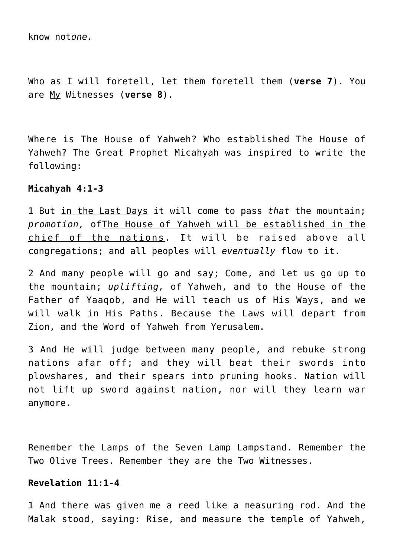know not*one.*

Who as I will foretell, let them foretell them (**verse 7**). You are My Witnesses (**verse 8**).

Where is The House of Yahweh? Who established The House of Yahweh? The Great Prophet Micahyah was inspired to write the following:

# **Micahyah 4:1-3**

1 But in the Last Days it will come to pass *that* the mountain; *promotion,* ofThe House of Yahweh will be established in the chief of the nations. It will be raised above all congregations; and all peoples will *eventually* flow to it.

2 And many people will go and say; Come, and let us go up to the mountain; *uplifting,* of Yahweh, and to the House of the Father of Yaaqob, and He will teach us of His Ways, and we will walk in His Paths. Because the Laws will depart from Zion, and the Word of Yahweh from Yerusalem.

3 And He will judge between many people, and rebuke strong nations afar off; and they will beat their swords into plowshares, and their spears into pruning hooks. Nation will not lift up sword against nation, nor will they learn war anymore.

Remember the Lamps of the Seven Lamp Lampstand. Remember the Two Olive Trees. Remember they are the Two Witnesses.

# **Revelation 11:1-4**

1 And there was given me a reed like a measuring rod. And the Malak stood, saying: Rise, and measure the temple of Yahweh,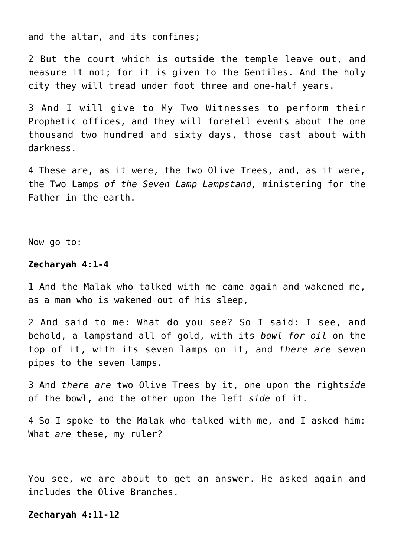and the altar, and its confines;

2 But the court which is outside the temple leave out, and measure it not; for it is given to the Gentiles. And the holy city they will tread under foot three and one-half years.

3 And I will give to My Two Witnesses to perform their Prophetic offices, and they will foretell events about the one thousand two hundred and sixty days, those cast about with darkness.

4 These are, as it were, the two Olive Trees, and, as it were, the Two Lamps *of the Seven Lamp Lampstand,* ministering for the Father in the earth.

Now go to:

#### **Zecharyah 4:1-4**

1 And the Malak who talked with me came again and wakened me, as a man who is wakened out of his sleep,

2 And said to me: What do you see? So I said: I see, and behold, a lampstand all of gold, with its *bowl for oil* on the top of it, with its seven lamps on it, and *there are* seven pipes to the seven lamps.

3 And *there are* two Olive Trees by it, one upon the right*side* of the bowl, and the other upon the left *side* of it.

4 So I spoke to the Malak who talked with me, and I asked him: What *are* these, my ruler?

You see, we are about to get an answer. He asked again and includes the Olive Branches.

### **Zecharyah 4:11-12**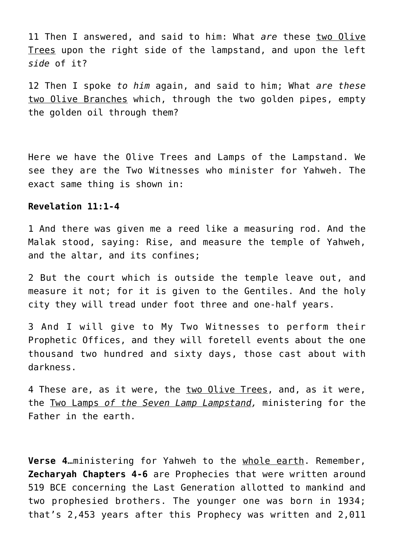11 Then I answered, and said to him: What *are* these two Olive Trees upon the right side of the lampstand, and upon the left *side* of it?

12 Then I spoke *to him* again, and said to him; What *are these* two Olive Branches which, through the two golden pipes, empty the golden oil through them?

Here we have the Olive Trees and Lamps of the Lampstand. We see they are the Two Witnesses who minister for Yahweh. The exact same thing is shown in:

## **Revelation 11:1-4**

1 And there was given me a reed like a measuring rod. And the Malak stood, saying: Rise, and measure the temple of Yahweh, and the altar, and its confines;

2 But the court which is outside the temple leave out, and measure it not; for it is given to the Gentiles. And the holy city they will tread under foot three and one-half years.

3 And I will give to My Two Witnesses to perform their Prophetic Offices, and they will foretell events about the one thousand two hundred and sixty days, those cast about with darkness.

4 These are, as it were, the two Olive Trees, and, as it were, the Two Lamps *of the Seven Lamp Lampstand,* ministering for the Father in the earth.

**Verse 4**…ministering for Yahweh to the whole earth. Remember, **Zecharyah Chapters 4-6** are Prophecies that were written around 519 BCE concerning the Last Generation allotted to mankind and two prophesied brothers. The younger one was born in 1934; that's 2,453 years after this Prophecy was written and 2,011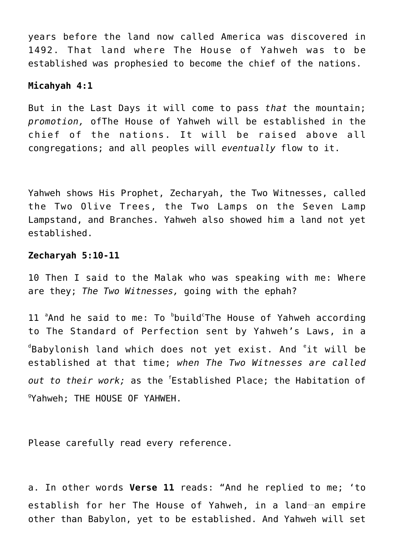years before the land now called America was discovered in 1492. That land where The House of Yahweh was to be established was prophesied to become the chief of the nations.

#### **Micahyah 4:1**

But in the Last Days it will come to pass *that* the mountain; *promotion,* ofThe House of Yahweh will be established in the chief of the nations. It will be raised above all congregations; and all peoples will *eventually* flow to it.

Yahweh shows His Prophet, Zecharyah, the Two Witnesses, called the Two Olive Trees, the Two Lamps on the Seven Lamp Lampstand, and Branches. Yahweh also showed him a land not yet established.

#### **Zecharyah 5:10-11**

10 Then I said to the Malak who was speaking with me: Where are they; *The Two Witnesses,* going with the ephah?

11 <sup>a</sup>And he said to me: To <sup>b</sup>build<sup>c</sup>The House of Yahweh according to The Standard of Perfection sent by Yahweh's Laws, in a  $^{\text{\tiny d}}$ Babylonish land which does not yet exist. And  $^{\text{\tiny e}}$ it will be established at that time; *when The Two Witnesses are called out to their work;* as the <sup>f</sup> Established Place; the Habitation of g Yahweh; THE HOUSE OF YAHWEH.

Please carefully read every reference.

a. In other words **Verse 11** reads: "And he replied to me; 'to establish for her The House of Yahweh, in a land-an empire other than Babylon, yet to be established. And Yahweh will set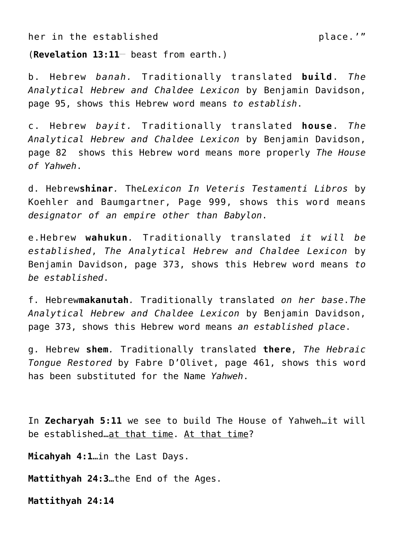her in the established behavior of the place.'"

 $(Revelation 13:11-$  beast from earth.)

b. Hebrew *banah.* Traditionally translated **build**. *The Analytical Hebrew and Chaldee Lexicon* by Benjamin Davidson, page 95, shows this Hebrew word means *to establish*.

c. Hebrew *bayit.* Traditionally translated **house**. *The Analytical Hebrew and Chaldee Lexicon* by Benjamin Davidson, page 82 shows this Hebrew word means more properly *The House of Yahweh*.

d. Hebrew**shinar***.* The*Lexicon In Veteris Testamenti Libros* by Koehler and Baumgartner, Page 999, shows this word means *designator of an empire other than Babylon*.

e.Hebrew **wahukun***.* Traditionally translated *it will be established*, *The Analytical Hebrew and Chaldee Lexicon* by Benjamin Davidson, page 373, shows this Hebrew word means *to be established*.

f. Hebrew**makanutah***.* Traditionally translated *on her base*.*The Analytical Hebrew and Chaldee Lexicon* by Benjamin Davidson, page 373, shows this Hebrew word means *an established place*.

g. Hebrew **shem***.* Traditionally translated **there**, *The Hebraic Tongue Restored* by Fabre D'Olivet, page 461, shows this word has been substituted for the Name *Yahweh*.

In **Zecharyah 5:11** we see to build The House of Yahweh…it will be established…at that time. At that time?

**Micahyah 4:1**…in the Last Days.

**Mattithyah 24:3**…the End of the Ages.

**Mattithyah 24:14**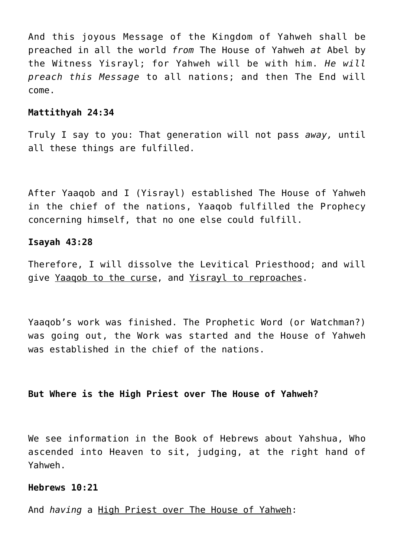And this joyous Message of the Kingdom of Yahweh shall be preached in all the world *from* The House of Yahweh *at* Abel by the Witness Yisrayl; for Yahweh will be with him. *He will preach this Message* to all nations; and then The End will come.

## **Mattithyah 24:34**

Truly I say to you: That generation will not pass *away,* until all these things are fulfilled.

After Yaaqob and I (Yisrayl) established The House of Yahweh in the chief of the nations, Yaaqob fulfilled the Prophecy concerning himself, that no one else could fulfill.

#### **Isayah 43:28**

Therefore, I will dissolve the Levitical Priesthood; and will give Yaaqob to the curse, and Yisrayl to reproaches.

Yaaqob's work was finished. The Prophetic Word (or Watchman?) was going out, the Work was started and the House of Yahweh was established in the chief of the nations.

# **But Where is the High Priest over The House of Yahweh?**

We see information in the Book of Hebrews about Yahshua, Who ascended into Heaven to sit, judging, at the right hand of Yahweh.

# **Hebrews 10:21**

And *having* a High Priest over The House of Yahweh: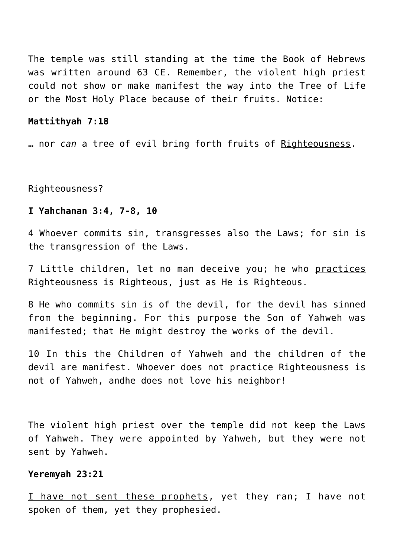The temple was still standing at the time the Book of Hebrews was written around 63 CE. Remember, the violent high priest could not show or make manifest the way into the Tree of Life or the Most Holy Place because of their fruits. Notice:

#### **Mattithyah 7:18**

… nor *can* a tree of evil bring forth fruits of Righteousness.

Righteousness?

### **I Yahchanan 3:4, 7-8, 10**

4 Whoever commits sin, transgresses also the Laws; for sin is the transgression of the Laws.

7 Little children, let no man deceive you; he who practices Righteousness is Righteous, just as He is Righteous.

8 He who commits sin is of the devil, for the devil has sinned from the beginning. For this purpose the Son of Yahweh was manifested; that He might destroy the works of the devil.

10 In this the Children of Yahweh and the children of the devil are manifest. Whoever does not practice Righteousness is not of Yahweh, andhe does not love his neighbor!

The violent high priest over the temple did not keep the Laws of Yahweh. They were appointed by Yahweh, but they were not sent by Yahweh.

# **Yeremyah 23:21**

I have not sent these prophets, yet they ran; I have not spoken of them, yet they prophesied.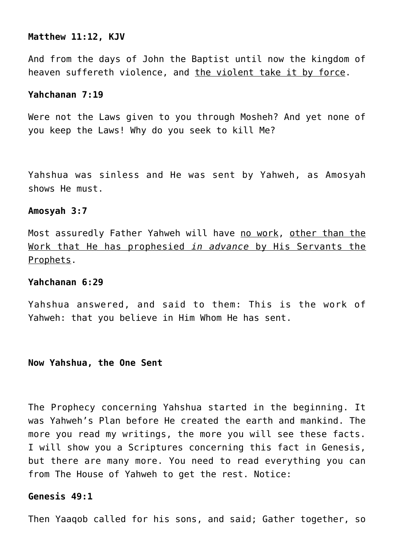#### **Matthew 11:12, KJV**

And from the days of John the Baptist until now the kingdom of heaven suffereth violence, and the violent take it by force.

# **Yahchanan 7:19**

Were not the Laws given to you through Mosheh? And yet none of you keep the Laws! Why do you seek to kill Me?

Yahshua was sinless and He was sent by Yahweh, as Amosyah shows He must.

#### **Amosyah 3:7**

Most assuredly Father Yahweh will have no work, other than the Work that He has prophesied *in advance* by His Servants the Prophets.

# **Yahchanan 6:29**

Yahshua answered, and said to them: This is the work of Yahweh: that you believe in Him Whom He has sent.

# **Now Yahshua, the One Sent**

The Prophecy concerning Yahshua started in the beginning. It was Yahweh's Plan before He created the earth and mankind. The more you read my writings, the more you will see these facts. I will show you a Scriptures concerning this fact in Genesis, but there are many more. You need to read everything you can from The House of Yahweh to get the rest. Notice:

# **Genesis 49:1**

Then Yaaqob called for his sons, and said; Gather together, so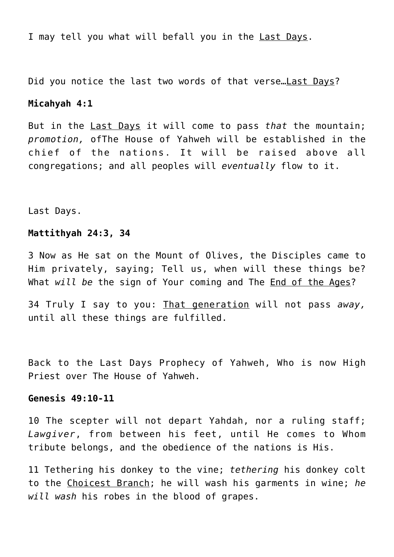I may tell you what will befall you in the Last Days.

Did you notice the last two words of that verse... Last Days?

#### **Micahyah 4:1**

But in the Last Days it will come to pass *that* the mountain; *promotion,* ofThe House of Yahweh will be established in the chief of the nations. It will be raised above all congregations; and all peoples will *eventually* flow to it.

Last Days.

## **Mattithyah 24:3, 34**

3 Now as He sat on the Mount of Olives, the Disciples came to Him privately, saying; Tell us, when will these things be? What *will be* the sign of Your coming and The End of the Ages?

34 Truly I say to you: That generation will not pass *away,* until all these things are fulfilled.

Back to the Last Days Prophecy of Yahweh, Who is now High Priest over The House of Yahweh.

## **Genesis 49:10-11**

10 The scepter will not depart Yahdah, nor a ruling staff; *Lawgiver*, from between his feet, until He comes to Whom tribute belongs, and the obedience of the nations is His.

11 Tethering his donkey to the vine; *tethering* his donkey colt to the Choicest Branch; he will wash his garments in wine; *he will wash* his robes in the blood of grapes.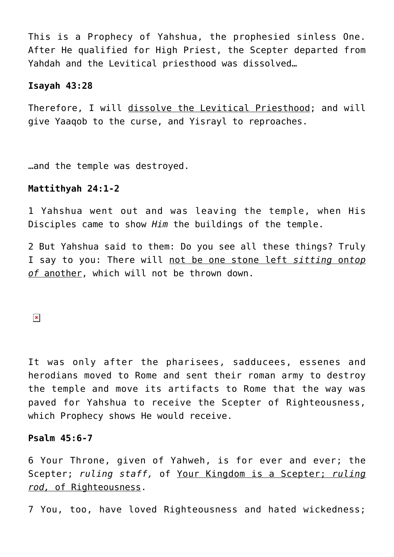This is a Prophecy of Yahshua, the prophesied sinless One. After He qualified for High Priest, the Scepter departed from Yahdah and the Levitical priesthood was dissolved…

# **Isayah 43:28**

Therefore, I will dissolve the Levitical Priesthood; and will give Yaaqob to the curse, and Yisrayl to reproaches.

…and the temple was destroyed.

## **Mattithyah 24:1-2**

1 Yahshua went out and was leaving the temple, when His Disciples came to show *Him* the buildings of the temple.

2 But Yahshua said to them: Do you see all these things? Truly I say to you: There will not be one stone left *sitting* on*top of* another, which will not be thrown down.

 $\pmb{\times}$ 

It was only after the pharisees, sadducees, essenes and herodians moved to Rome and sent their roman army to destroy the temple and move its artifacts to Rome that the way was paved for Yahshua to receive the Scepter of Righteousness, which Prophecy shows He would receive.

#### **Psalm 45:6-7**

6 Your Throne, given of Yahweh, is for ever and ever; the Scepter; *ruling staff,* of Your Kingdom is a Scepter; *ruling rod,* of Righteousness.

7 You, too, have loved Righteousness and hated wickedness;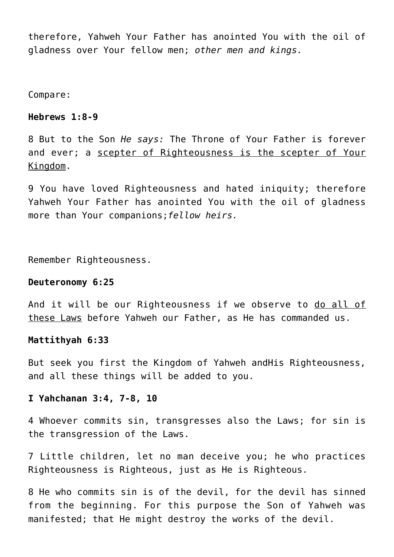therefore, Yahweh Your Father has anointed You with the oil of gladness over Your fellow men; *other men and kings.*

Compare:

# **Hebrews 1:8-9**

8 But to the Son *He says:* The Throne of Your Father is forever and ever; a scepter of Righteousness is the scepter of Your Kingdom.

9 You have loved Righteousness and hated iniquity; therefore Yahweh Your Father has anointed You with the oil of gladness more than Your companions;*fellow heirs.*

Remember Righteousness.

#### **Deuteronomy 6:25**

And it will be our Righteousness if we observe to do all of these Laws before Yahweh our Father, as He has commanded us.

### **Mattithyah 6:33**

But seek you first the Kingdom of Yahweh andHis Righteousness, and all these things will be added to you.

# **I Yahchanan 3:4, 7-8, 10**

4 Whoever commits sin, transgresses also the Laws; for sin is the transgression of the Laws.

7 Little children, let no man deceive you; he who practices Righteousness is Righteous, just as He is Righteous.

8 He who commits sin is of the devil, for the devil has sinned from the beginning. For this purpose the Son of Yahweh was manifested; that He might destroy the works of the devil.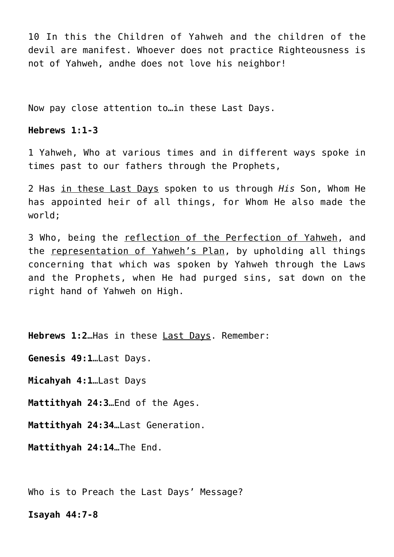10 In this the Children of Yahweh and the children of the devil are manifest. Whoever does not practice Righteousness is not of Yahweh, andhe does not love his neighbor!

Now pay close attention to…in these Last Days.

# **Hebrews 1:1-3**

1 Yahweh, Who at various times and in different ways spoke in times past to our fathers through the Prophets,

2 Has in these Last Days spoken to us through *His* Son, Whom He has appointed heir of all things, for Whom He also made the world;

3 Who, being the reflection of the Perfection of Yahweh, and the representation of Yahweh's Plan, by upholding all things concerning that which was spoken by Yahweh through the Laws and the Prophets, when He had purged sins, sat down on the right hand of Yahweh on High.

**Hebrews 1:2**…Has in these Last Days. Remember:

**Genesis 49:1**…Last Days.

**Micahyah 4:1**…Last Days

**Mattithyah 24:3**…End of the Ages.

**Mattithyah 24:34**…Last Generation.

**Mattithyah 24:14**…The End.

Who is to Preach the Last Days' Message?

#### **Isayah 44:7-8**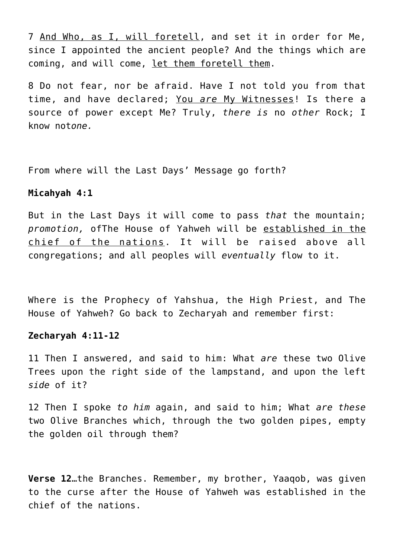7 And Who, as I, will foretell, and set it in order for Me, since I appointed the ancient people? And the things which are coming, and will come, let them foretell them.

8 Do not fear, nor be afraid. Have I not told you from that time, and have declared; You *are* My Witnesses! Is there a source of power except Me? Truly, *there is* no *other* Rock; I know not*one.*

From where will the Last Days' Message go forth?

# **Micahyah 4:1**

But in the Last Days it will come to pass *that* the mountain; *promotion,* ofThe House of Yahweh will be established in the chief of the nations. It will be raised above all congregations; and all peoples will *eventually* flow to it.

Where is the Prophecy of Yahshua, the High Priest, and The House of Yahweh? Go back to Zecharyah and remember first:

# **Zecharyah 4:11-12**

11 Then I answered, and said to him: What *are* these two Olive Trees upon the right side of the lampstand, and upon the left *side* of it?

12 Then I spoke *to him* again, and said to him; What *are these* two Olive Branches which, through the two golden pipes, empty the golden oil through them?

**Verse 12**…the Branches. Remember, my brother, Yaaqob, was given to the curse after the House of Yahweh was established in the chief of the nations.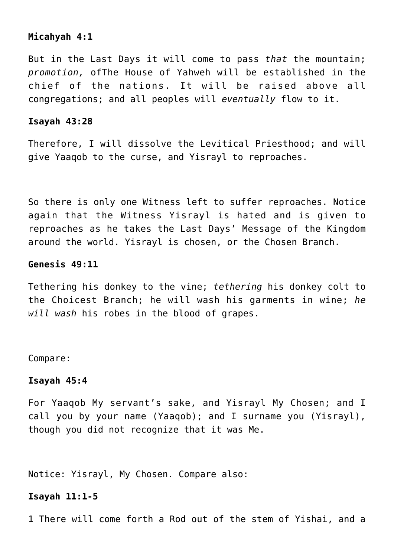# **Micahyah 4:1**

But in the Last Days it will come to pass *that* the mountain; *promotion,* ofThe House of Yahweh will be established in the chief of the nations. It will be raised above all congregations; and all peoples will *eventually* flow to it.

# **Isayah 43:28**

Therefore, I will dissolve the Levitical Priesthood; and will give Yaaqob to the curse, and Yisrayl to reproaches.

So there is only one Witness left to suffer reproaches. Notice again that the Witness Yisrayl is hated and is given to reproaches as he takes the Last Days' Message of the Kingdom around the world. Yisrayl is chosen, or the Chosen Branch.

# **Genesis 49:11**

Tethering his donkey to the vine; *tethering* his donkey colt to the Choicest Branch; he will wash his garments in wine; *he will wash* his robes in the blood of grapes.

Compare:

#### **Isayah 45:4**

For Yaaqob My servant's sake, and Yisrayl My Chosen; and I call you by your name (Yaaqob); and I surname you (Yisrayl), though you did not recognize that it was Me.

Notice: Yisrayl, My Chosen. Compare also:

# **Isayah 11:1-5**

1 There will come forth a Rod out of the stem of Yishai, and a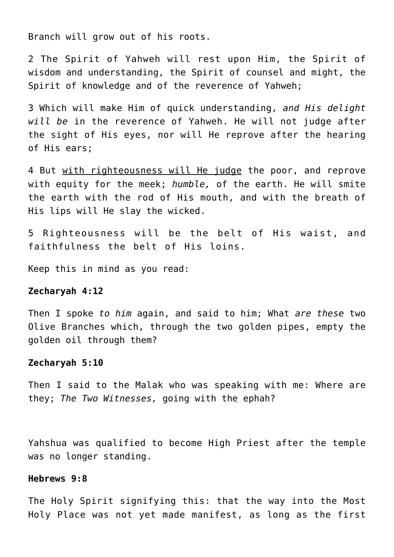Branch will grow out of his roots.

2 The Spirit of Yahweh will rest upon Him, the Spirit of wisdom and understanding, the Spirit of counsel and might, the Spirit of knowledge and of the reverence of Yahweh;

3 Which will make Him of quick understanding, *and His delight will be* in the reverence of Yahweh. He will not judge after the sight of His eyes, nor will He reprove after the hearing of His ears;

4 But with righteousness will He judge the poor, and reprove with equity for the meek; *humble,* of the earth. He will smite the earth with the rod of His mouth, and with the breath of His lips will He slay the wicked.

5 Righteousness will be the belt of His waist, and faithfulness the belt of His loins.

Keep this in mind as you read:

#### **Zecharyah 4:12**

Then I spoke *to him* again, and said to him; What *are these* two Olive Branches which, through the two golden pipes, empty the golden oil through them?

#### **Zecharyah 5:10**

Then I said to the Malak who was speaking with me: Where are they; *The Two Witnesses,* going with the ephah?

Yahshua was qualified to become High Priest after the temple was no longer standing.

# **Hebrews 9:8**

The Holy Spirit signifying this: that the way into the Most Holy Place was not yet made manifest, as long as the first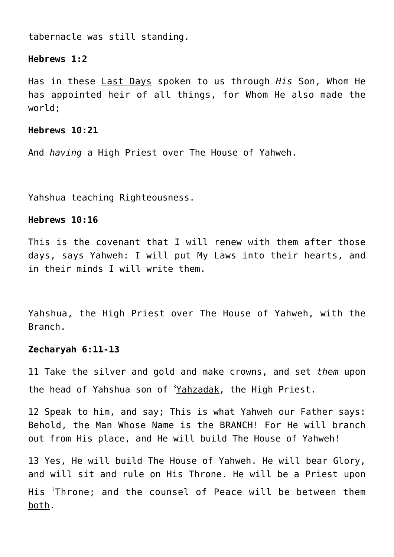tabernacle was still standing.

#### **Hebrews 1:2**

Has in these Last Days spoken to us through *His* Son, Whom He has appointed heir of all things, for Whom He also made the world;

## **Hebrews 10:21**

And *having* a High Priest over The House of Yahweh.

Yahshua teaching Righteousness.

# **Hebrews 10:16**

This is the covenant that I will renew with them after those days, says Yahweh: I will put My Laws into their hearts, and in their minds I will write them.

Yahshua, the High Priest over The House of Yahweh, with the Branch.

#### **Zecharyah 6:11-13**

11 Take the silver and gold and make crowns, and set *them* upon the head of Yahshua son of 'Yahzadak, the High Priest.

12 Speak to him, and say; This is what Yahweh our Father says: Behold, the Man Whose Name is the BRANCH! For He will branch out from His place, and He will build The House of Yahweh!

13 Yes, He will build The House of Yahweh. He will bear Glory, and will sit and rule on His Throne. He will be a Priest upon His <sup>l</sup>Throne; and <u>the counsel of Peace will be between them</u> both.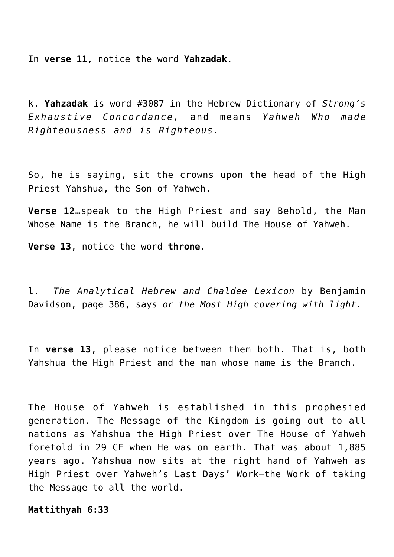In **verse 11**, notice the word **Yahzadak**.

k. **Yahzadak** is word #3087 in the Hebrew Dictionary of *Strong's Exhaustive Concordance,* and means *Yahweh Who made Righteousness and is Righteous.*

So, he is saying, sit the crowns upon the head of the High Priest Yahshua, the Son of Yahweh.

**Verse 12**…speak to the High Priest and say Behold, the Man Whose Name is the Branch, he will build The House of Yahweh.

**Verse 13**, notice the word **throne**.

l. *The Analytical Hebrew and Chaldee Lexicon* by Benjamin Davidson, page 386, says *or the Most High covering with light.*

In **verse 13**, please notice between them both. That is, both Yahshua the High Priest and the man whose name is the Branch.

The House of Yahweh is established in this prophesied generation. The Message of the Kingdom is going out to all nations as Yahshua the High Priest over The House of Yahweh foretold in 29 CE when He was on earth. That was about 1,885 years ago. Yahshua now sits at the right hand of Yahweh as High Priest over Yahweh's Last Days' Work—the Work of taking the Message to all the world.

**Mattithyah 6:33**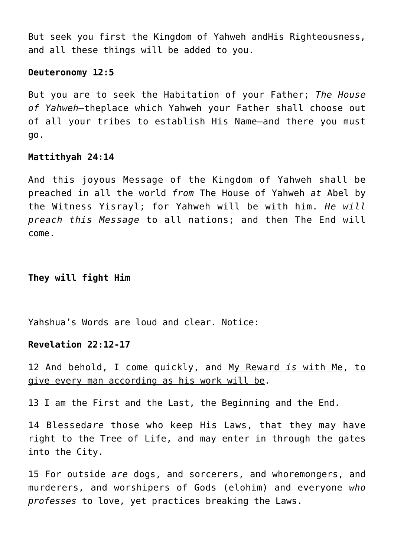But seek you first the Kingdom of Yahweh andHis Righteousness, and all these things will be added to you.

## **Deuteronomy 12:5**

But you are to seek the Habitation of your Father; *The House of Yahweh—*theplace which Yahweh your Father shall choose out of all your tribes to establish His Name—and there you must go.

## **Mattithyah 24:14**

And this joyous Message of the Kingdom of Yahweh shall be preached in all the world *from* The House of Yahweh *at* Abel by the Witness Yisrayl; for Yahweh will be with him. *He will preach this Message* to all nations; and then The End will come.

# **They will fight Him**

Yahshua's Words are loud and clear. Notice:

# **Revelation 22:12-17**

12 And behold, I come quickly, and My Reward *is* with Me, to give every man according as his work will be.

13 I am the First and the Last, the Beginning and the End.

14 Blessed*are* those who keep His Laws, that they may have right to the Tree of Life, and may enter in through the gates into the City.

15 For outside *are* dogs, and sorcerers, and whoremongers, and murderers, and worshipers of Gods (elohim) and everyone *who professes* to love, yet practices breaking the Laws.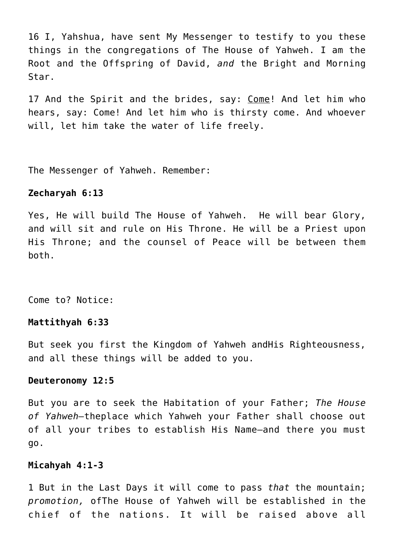16 I, Yahshua, have sent My Messenger to testify to you these things in the congregations of The House of Yahweh. I am the Root and the Offspring of David, *and* the Bright and Morning Star.

17 And the Spirit and the brides, say: Come! And let him who hears, say: Come! And let him who is thirsty come. And whoever will, let him take the water of life freely.

The Messenger of Yahweh. Remember:

# **Zecharyah 6:13**

Yes, He will build The House of Yahweh. He will bear Glory, and will sit and rule on His Throne. He will be a Priest upon His Throne; and the counsel of Peace will be between them both.

Come to? Notice:

# **Mattithyah 6:33**

But seek you first the Kingdom of Yahweh andHis Righteousness, and all these things will be added to you.

#### **Deuteronomy 12:5**

But you are to seek the Habitation of your Father; *The House of Yahweh—*theplace which Yahweh your Father shall choose out of all your tribes to establish His Name—and there you must go.

#### **Micahyah 4:1-3**

1 But in the Last Days it will come to pass *that* the mountain; *promotion,* ofThe House of Yahweh will be established in the chief of the nations. It will be raised above all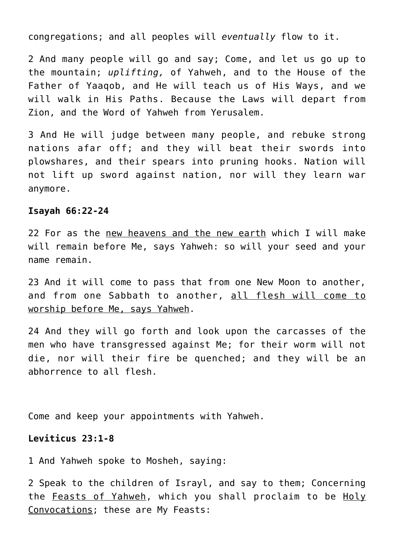congregations; and all peoples will *eventually* flow to it.

2 And many people will go and say; Come, and let us go up to the mountain; *uplifting,* of Yahweh, and to the House of the Father of Yaaqob, and He will teach us of His Ways, and we will walk in His Paths. Because the Laws will depart from Zion, and the Word of Yahweh from Yerusalem.

3 And He will judge between many people, and rebuke strong nations afar off; and they will beat their swords into plowshares, and their spears into pruning hooks. Nation will not lift up sword against nation, nor will they learn war anymore.

#### **Isayah 66:22-24**

22 For as the new heavens and the new earth which I will make will remain before Me, says Yahweh: so will your seed and your name remain.

23 And it will come to pass that from one New Moon to another, and from one Sabbath to another, all flesh will come to worship before Me, says Yahweh.

24 And they will go forth and look upon the carcasses of the men who have transgressed against Me; for their worm will not die, nor will their fire be quenched; and they will be an abhorrence to all flesh.

Come and keep your appointments with Yahweh.

### **Leviticus 23:1-8**

1 And Yahweh spoke to Mosheh, saying:

2 Speak to the children of Israyl, and say to them; Concerning the Feasts of Yahweh, which you shall proclaim to be Holy Convocations; these are My Feasts: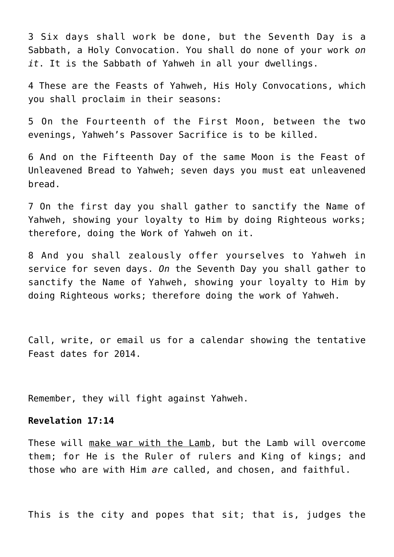3 Six days shall work be done, but the Seventh Day is a Sabbath, a Holy Convocation. You shall do none of your work *on it*. It is the Sabbath of Yahweh in all your dwellings.

4 These are the Feasts of Yahweh, His Holy Convocations, which you shall proclaim in their seasons:

5 On the Fourteenth of the First Moon, between the two evenings, Yahweh's Passover Sacrifice is to be killed.

6 And on the Fifteenth Day of the same Moon is the Feast of Unleavened Bread to Yahweh; seven days you must eat unleavened bread.

7 On the first day you shall gather to sanctify the Name of Yahweh, showing your loyalty to Him by doing Righteous works; therefore, doing the Work of Yahweh on it.

8 And you shall zealously offer yourselves to Yahweh in service for seven days. *On* the Seventh Day you shall gather to sanctify the Name of Yahweh, showing your loyalty to Him by doing Righteous works; therefore doing the work of Yahweh.

Call, write, or email us for a calendar showing the tentative Feast dates for 2014.

Remember, they will fight against Yahweh.

# **Revelation 17:14**

These will make war with the Lamb, but the Lamb will overcome them; for He is the Ruler of rulers and King of kings; and those who are with Him *are* called, and chosen, and faithful.

This is the city and popes that sit; that is, judges the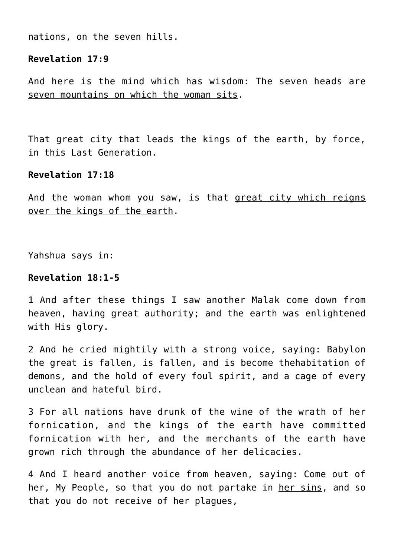nations, on the seven hills.

# **Revelation 17:9**

And here is the mind which has wisdom: The seven heads are seven mountains on which the woman sits.

That great city that leads the kings of the earth, by force, in this Last Generation.

### **Revelation 17:18**

And the woman whom you saw, is that great city which reigns over the kings of the earth.

Yahshua says in:

### **Revelation 18:1-5**

1 And after these things I saw another Malak come down from heaven, having great authority; and the earth was enlightened with His glory.

2 And he cried mightily with a strong voice, saying: Babylon the great is fallen, is fallen, and is become thehabitation of demons, and the hold of every foul spirit, and a cage of every unclean and hateful bird.

3 For all nations have drunk of the wine of the wrath of her fornication, and the kings of the earth have committed fornication with her, and the merchants of the earth have grown rich through the abundance of her delicacies.

4 And I heard another voice from heaven, saying: Come out of her, My People, so that you do not partake in her sins, and so that you do not receive of her plagues,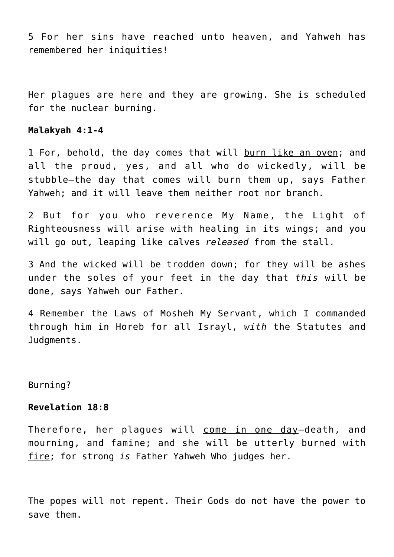5 For her sins have reached unto heaven, and Yahweh has remembered her iniquities!

Her plagues are here and they are growing. She is scheduled for the nuclear burning.

#### **Malakyah 4:1-4**

1 For, behold, the day comes that will burn like an oven; and all the proud, yes, and all who do wickedly, will be stubble—the day that comes will burn them up, says Father Yahweh; and it will leave them neither root nor branch.

2 But for you who reverence My Name, the Light of Righteousness will arise with healing in its wings; and you will go out, leaping like calves *released* from the stall.

3 And the wicked will be trodden down; for they will be ashes under the soles of your feet in the day that *this* will be done, says Yahweh our Father.

4 Remember the Laws of Mosheh My Servant, which I commanded through him in Horeb for all Israyl, *with* the Statutes and Judgments.

Burning?

# **Revelation 18:8**

Therefore, her plagues will come in one day-death, and mourning, and famine; and she will be utterly burned with fire; for strong *is* Father Yahweh Who judges her.

The popes will not repent. Their Gods do not have the power to save them.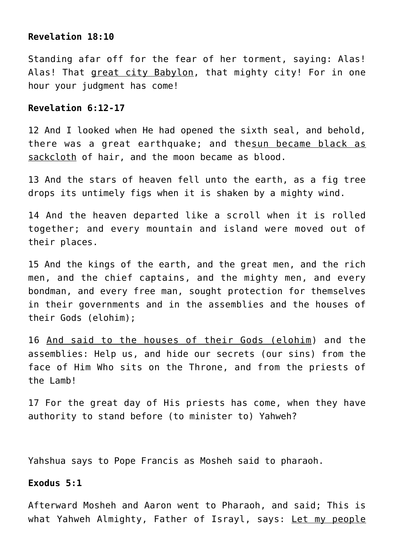### **Revelation 18:10**

Standing afar off for the fear of her torment, saying: Alas! Alas! That great city Babylon, that mighty city! For in one hour your judgment has come!

# **Revelation 6:12-17**

12 And I looked when He had opened the sixth seal, and behold, there was a great earthquake; and thesun became black as sackcloth of hair, and the moon became as blood.

13 And the stars of heaven fell unto the earth, as a fig tree drops its untimely figs when it is shaken by a mighty wind.

14 And the heaven departed like a scroll when it is rolled together; and every mountain and island were moved out of their places.

15 And the kings of the earth, and the great men, and the rich men, and the chief captains, and the mighty men, and every bondman, and every free man, sought protection for themselves in their governments and in the assemblies and the houses of their Gods (elohim);

16 And said to the houses of their Gods (elohim) and the assemblies: Help us, and hide our secrets (our sins) from the face of Him Who sits on the Throne, and from the priests of the Lamb!

17 For the great day of His priests has come, when they have authority to stand before (to minister to) Yahweh?

Yahshua says to Pope Francis as Mosheh said to pharaoh.

# **Exodus 5:1**

Afterward Mosheh and Aaron went to Pharaoh, and said; This is what Yahweh Almighty, Father of Israyl, says: Let my people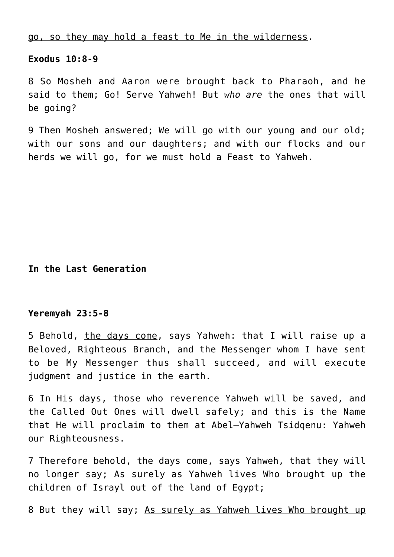go, so they may hold a feast to Me in the wilderness.

# **Exodus 10:8-9**

8 So Mosheh and Aaron were brought back to Pharaoh, and he said to them; Go! Serve Yahweh! But *who are* the ones that will be going?

9 Then Mosheh answered; We will go with our young and our old; with our sons and our daughters; and with our flocks and our herds we will go, for we must hold a Feast to Yahweh.

**In the Last Generation**

### **Yeremyah 23:5-8**

5 Behold, the days come, says Yahweh: that I will raise up a Beloved, Righteous Branch, and the Messenger whom I have sent to be My Messenger thus shall succeed, and will execute judgment and justice in the earth.

6 In His days, those who reverence Yahweh will be saved, and the Called Out Ones will dwell safely; and this is the Name that He will proclaim to them at Abel–Yahweh Tsidqenu: Yahweh our Righteousness.

7 Therefore behold, the days come, says Yahweh, that they will no longer say; As surely as Yahweh lives Who brought up the children of Israyl out of the land of Egypt;

8 But they will say; As surely as Yahweh lives Who brought up